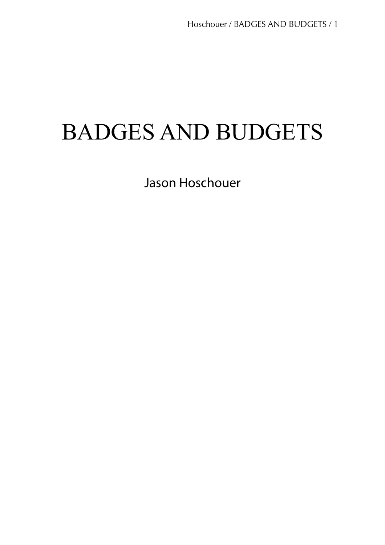# BADGES AND BUDGETS

Jason Hoschouer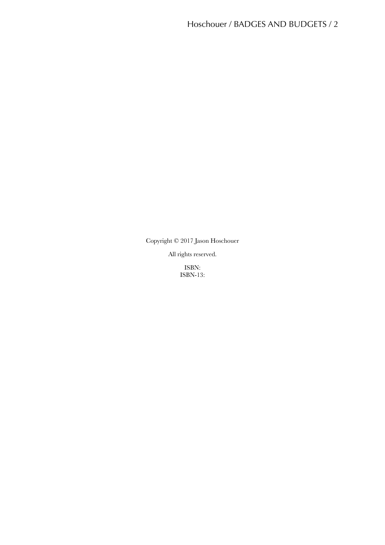Copyright © 2017 Jason Hoschouer

All rights reserved.

ISBN: ISBN-13: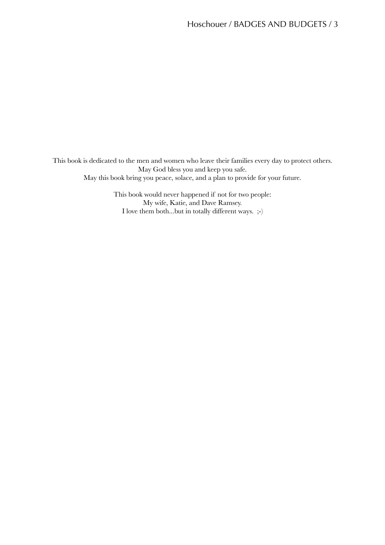This book is dedicated to the men and women who leave their families every day to protect others. May God bless you and keep you safe. May this book bring you peace, solace, and a plan to provide for your future.

> This book would never happened if not for two people: My wife, Katie, and Dave Ramsey. I love them both...but in totally different ways. ;-)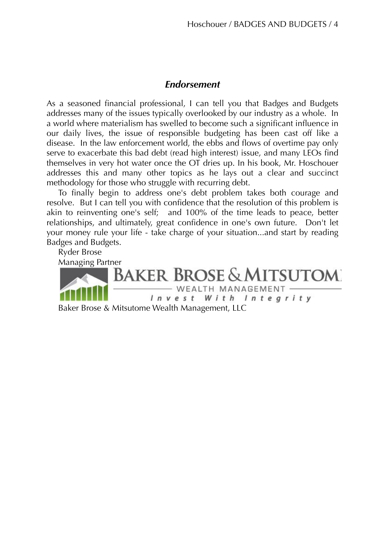# *Endorsement*

As a seasoned financial professional, I can tell you that Badges and Budgets addresses many of the issues typically overlooked by our industry as a whole. In a world where materialism has swelled to become such a significant influence in our daily lives, the issue of responsible budgeting has been cast off like a disease. In the law enforcement world, the ebbs and flows of overtime pay only serve to exacerbate this bad debt (read high interest) issue, and many LEOs find themselves in very hot water once the OT dries up. In his book, Mr. Hoschouer addresses this and many other topics as he lays out a clear and succinct methodology for those who struggle with recurring debt.

To finally begin to address one's debt problem takes both courage and resolve. But I can tell you with confidence that the resolution of this problem is akin to reinventing one's self; and 100% of the time leads to peace, better relationships, and ultimately, great confidence in one's own future. Don't let your money rule your life - take charge of your situation...and start by reading Badges and Budgets.

Ryder Brose Managing Partner **BROSE & MITSUTOM** WEALTH MANAGEMENT  $l$   $n$   $v$   $e$   $s$   $t$ With Integrity Baker Brose & Mitsutome Wealth Management, LLC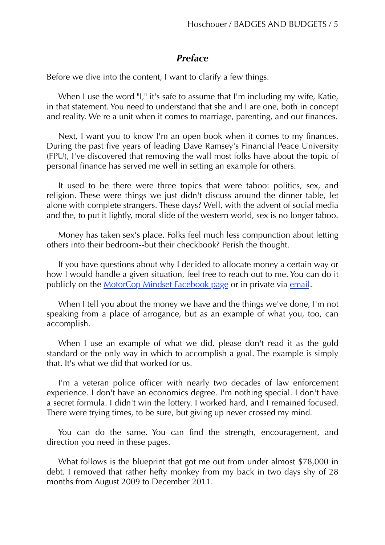# *Preface*

Before we dive into the content, I want to clarify a few things.

When I use the word "I," it's safe to assume that I'm including my wife, Katie, in that statement. You need to understand that she and I are one, both in concept and reality. We're a unit when it comes to marriage, parenting, and our finances.

Next, I want you to know I'm an open book when it comes to my finances. During the past five years of leading Dave Ramsey's Financial Peace University (FPU), I've discovered that removing the wall most folks have about the topic of personal finance has served me well in setting an example for others.

It used to be there were three topics that were taboo: politics, sex, and religion. These were things we just didn't discuss around the dinner table, let alone with complete strangers. These days? Well, with the advent of social media and the, to put it lightly, moral slide of the western world, sex is no longer taboo.

Money has taken sex's place. Folks feel much less compunction about letting others into their bedroom--but their checkbook? Perish the thought.

If you have questions about why I decided to allocate money a certain way or how I would handle a given situation, feel free to reach out to me. You can do it publicly on the [MotorCop Mindset Facebook page](http://www.facebook.com/themotorcopmindset) or in private via [email.](mailto:jason@themotorcopmindset.com)

When I tell you about the money we have and the things we've done, I'm not speaking from a place of arrogance, but as an example of what you, too, can accomplish.

When I use an example of what we did, please don't read it as the gold standard or the only way in which to accomplish a goal. The example is simply that. It's what we did that worked for us.

I'm a veteran police officer with nearly two decades of law enforcement experience. I don't have an economics degree. I'm nothing special. I don't have a secret formula. I didn't win the lottery. I worked hard, and I remained focused. There were trying times, to be sure, but giving up never crossed my mind.

You can do the same. You can find the strength, encouragement, and direction you need in these pages.

What follows is the blueprint that got me out from under almost \$78,000 in debt. I removed that rather hefty monkey from my back in two days shy of 28 months from August 2009 to December 2011.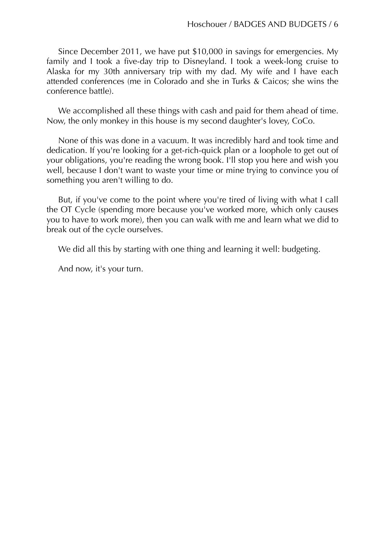Since December 2011, we have put \$10,000 in savings for emergencies. My family and I took a five-day trip to Disneyland. I took a week-long cruise to Alaska for my 30th anniversary trip with my dad. My wife and I have each attended conferences (me in Colorado and she in Turks & Caicos; she wins the conference battle).

We accomplished all these things with cash and paid for them ahead of time. Now, the only monkey in this house is my second daughter's lovey, CoCo.

None of this was done in a vacuum. It was incredibly hard and took time and dedication. If you're looking for a get-rich-quick plan or a loophole to get out of your obligations, you're reading the wrong book. I'll stop you here and wish you well, because I don't want to waste your time or mine trying to convince you of something you aren't willing to do.

But, if you've come to the point where you're tired of living with what I call the OT Cycle (spending more because you've worked more, which only causes you to have to work more), then you can walk with me and learn what we did to break out of the cycle ourselves.

We did all this by starting with one thing and learning it well: budgeting.

And now, it's your turn.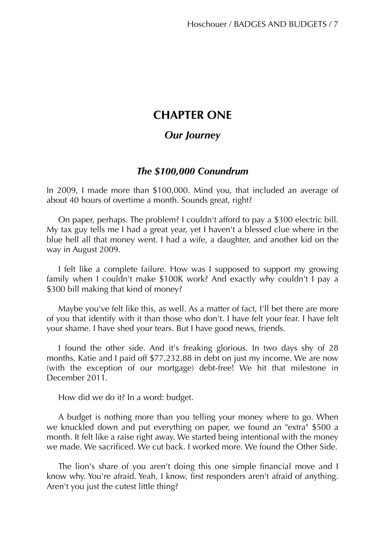# **CHAPTER ONE**

# *Our Journey*

# *The \$100,000 Conundrum*

In 2009, I made more than \$100,000. Mind you, that included an average of about 40 hours of overtime a month. Sounds great, right?

On paper, perhaps. The problem? I couldn't afford to pay a \$300 electric bill. My tax guy tells me I had a great year, yet I haven't a blessed clue where in the blue hell all that money went. I had a wife, a daughter, and another kid on the way in August 2009.

I felt like a complete failure. How was I supposed to support my growing family when I couldn't make \$100K work? And exactly why couldn't I pay a \$300 bill making that kind of money?

Maybe you've felt like this, as well. As a matter of fact, I'll bet there are more of you that identify with it than those who don't. I have felt your fear. I have felt your shame. I have shed your tears. But I have good news, friends.

I found the other side. And it's freaking glorious. In two days shy of 28 months, Katie and I paid off \$77,232.88 in debt on just my income. We are now (with the exception of our mortgage) debt-free! We hit that milestone in December 2011.

How did we do it? In a word: budget.

A budget is nothing more than you telling your money where to go. When we knuckled down and put everything on paper, we found an "extra" \$500 a month. It felt like a raise right away. We started being intentional with the money we made. We sacrificed. We cut back. I worked more. We found the Other Side.

The lion's share of you aren't doing this one simple financial move and I know why. You're afraid. Yeah, I know, first responders aren't afraid of anything. Aren't you just the cutest little thing?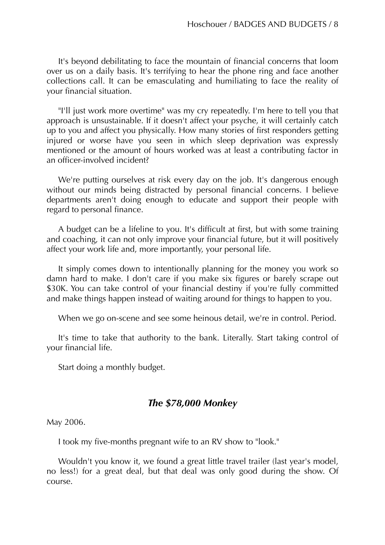It's beyond debilitating to face the mountain of financial concerns that loom over us on a daily basis. It's terrifying to hear the phone ring and face another collections call. It can be emasculating and humiliating to face the reality of your financial situation.

"I'll just work more overtime" was my cry repeatedly. I'm here to tell you that approach is unsustainable. If it doesn't affect your psyche, it will certainly catch up to you and affect you physically. How many stories of first responders getting injured or worse have you seen in which sleep deprivation was expressly mentioned or the amount of hours worked was at least a contributing factor in an officer-involved incident?

We're putting ourselves at risk every day on the job. It's dangerous enough without our minds being distracted by personal financial concerns. I believe departments aren't doing enough to educate and support their people with regard to personal finance.

A budget can be a lifeline to you. It's difficult at first, but with some training and coaching, it can not only improve your financial future, but it will positively affect your work life and, more importantly, your personal life.

It simply comes down to intentionally planning for the money you work so damn hard to make. I don't care if you make six figures or barely scrape out \$30K. You can take control of your financial destiny if you're fully committed and make things happen instead of waiting around for things to happen to you.

When we go on-scene and see some heinous detail, we're in control. Period.

It's time to take that authority to the bank. Literally. Start taking control of your financial life.

Start doing a monthly budget.

## *The \$78,000 Monkey*

May 2006.

I took my five-months pregnant wife to an RV show to "look."

Wouldn't you know it, we found a great little travel trailer (last year's model, no less!) for a great deal, but that deal was only good during the show. Of course.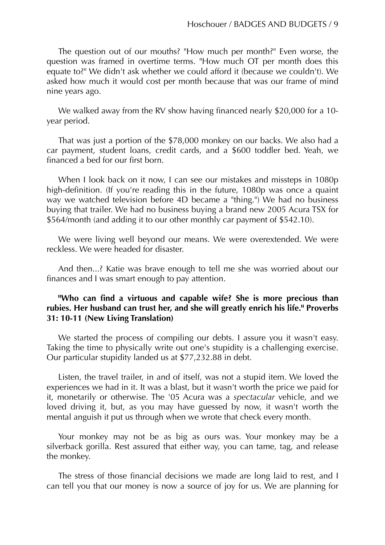The question out of our mouths? "How much per month?" Even worse, the question was framed in overtime terms. "How much OT per month does this equate to?" We didn't ask whether we could afford it (because we couldn't). We asked how much it would cost per month because that was our frame of mind nine years ago.

We walked away from the RV show having financed nearly \$20,000 for a 10 year period.

That was just a portion of the \$78,000 monkey on our backs. We also had a car payment, student loans, credit cards, and a \$600 toddler bed. Yeah, we financed a bed for our first born.

When I look back on it now, I can see our mistakes and missteps in 1080p high-definition. (If you're reading this in the future, 1080p was once a quaint way we watched television before 4D became a "thing.") We had no business buying that trailer. We had no business buying a brand new 2005 Acura TSX for \$564/month (and adding it to our other monthly car payment of \$542.10).

We were living well beyond our means. We were overextended. We were reckless. We were headed for disaster.

And then...? Katie was brave enough to tell me she was worried about our finances and I was smart enough to pay attention.

## **"Who can find a virtuous and capable wife? She is more precious than rubies. Her husband can trust her, and she will greatly enrich his life." Proverbs 31: 10-11 (New Living Translation)**

We started the process of compiling our debts. I assure you it wasn't easy. Taking the time to physically write out one's stupidity is a challenging exercise. Our particular stupidity landed us at \$77,232.88 in debt.

Listen, the travel trailer, in and of itself, was not a stupid item. We loved the experiences we had in it. It was a blast, but it wasn't worth the price we paid for it, monetarily or otherwise. The '05 Acura was a *spectacular* vehicle, and we loved driving it, but, as you may have guessed by now, it wasn't worth the mental anguish it put us through when we wrote that check every month.

Your monkey may not be as big as ours was. Your monkey may be a silverback gorilla. Rest assured that either way, you can tame, tag, and release the monkey.

The stress of those financial decisions we made are long laid to rest, and I can tell you that our money is now a source of joy for us. We are planning for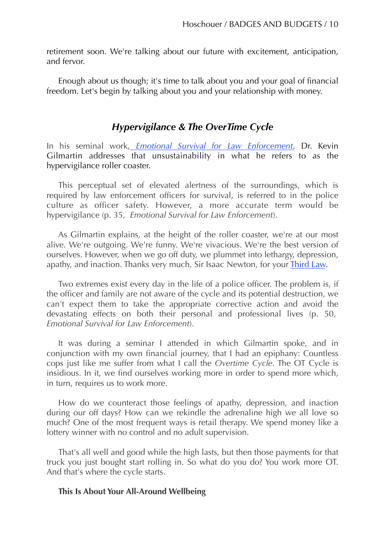retirement soon. We're talking about our future with excitement, anticipation, and fervor.

Enough about us though; it's time to talk about you and your goal of financial freedom. Let's begin by talking about you and your relationship with money.

# *Hypervigilance & The OverTime Cycle*

In his seminal work, *[Emotional Survival for Law Enforcement](http://amzn.to/2ziDF7q)*[,](http://amzn.to/2ziDF7q) Dr. Kevin Gilmartin addresses that unsustainability in what he refers to as the hypervigilance roller coaster.

This perceptual set of elevated alertness of the surroundings, which is required by law enforcement officers for survival, is referred to in the police culture as officer safety. However, a more accurate term would be hypervigilance (p. 35, *Emotional Survival for Law Enforcement*).

As Gilmartin explains, at the height of the roller coaster, we're at our most alive. We're outgoing. We're funny. We're vivacious. We're the best version of ourselves. However, when we go off duty, we plummet into lethargy, depression, apathy, and inaction. Thanks very much, Sir Isaac Newton, for your *Third Law*.

Two extremes exist every day in the life of a police officer. The problem is, if the officer and family are not aware of the cycle and its potential destruction, we can't expect them to take the appropriate corrective action and avoid the devastating effects on both their personal and professional lives (p. 50, *Emotional Survival for Law Enforcement*).

It was during a seminar I attended in which Gilmartin spoke, and in conjunction with my own financial journey, that I had an epiphany: Countless cops just like me suffer from what I call the *Overtime Cycle*. The OT Cycle is insidious. In it, we find ourselves working more in order to spend more which, in turn, requires us to work more.

How do we counteract those feelings of apathy, depression, and inaction during our off days? How can we rekindle the adrenaline high we all love so much? One of the most frequent ways is retail therapy. We spend money like a lottery winner with no control and no adult supervision.

That's all well and good while the high lasts, but then those payments for that truck you just bought start rolling in. So what do you do? You work more OT. And that's where the cycle starts.

#### **This Is About Your All-Around Wellbeing**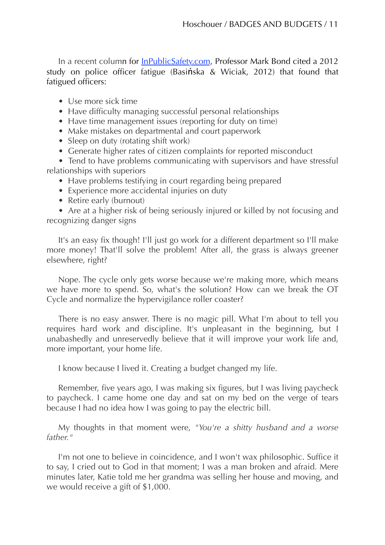In a recent column for [InPublicSafety.com,](http://inpublicsafety.com/2014/02/the-impact-of-stress-and-fatigue-on-law-enforcement-officers-and-steps-to-control-it/) Professor Mark Bond cited a 2012 study on police officer fatigue (Basińska & Wiciak, 2012) that found that fatigued officers:

- Use more sick time
- Have difficulty managing successful personal relationships
- Have time management issues (reporting for duty on time)
- Make mistakes on departmental and court paperwork
- Sleep on duty (rotating shift work)
- Generate higher rates of citizen complaints for reported misconduct

• Tend to have problems communicating with supervisors and have stressful relationships with superiors

- Have problems testifying in court regarding being prepared
- Experience more accidental injuries on duty
- Retire early (burnout)

• Are at a higher risk of being seriously injured or killed by not focusing and recognizing danger signs

It's an easy fix though! I'll just go work for a different department so I'll make more money! That'll solve the problem! After all, the grass is always greener elsewhere, right?

Nope. The cycle only gets worse because we're making more, which means we have more to spend. So, what's the solution? How can we break the OT Cycle and normalize the hypervigilance roller coaster?

There is no easy answer. There is no magic pill. What I'm about to tell you requires hard work and discipline. It's unpleasant in the beginning, but I unabashedly and unreservedly believe that it will improve your work life and, more important, your home life.

I know because I lived it. Creating a budget changed my life.

Remember, five years ago, I was making six figures, but I was living paycheck to paycheck. I came home one day and sat on my bed on the verge of tears because I had no idea how I was going to pay the electric bill.

My thoughts in that moment were, *"You're a shitty husband and a worse father."*

I'm not one to believe in coincidence, and I won't wax philosophic. Suffice it to say, I cried out to God in that moment; I was a man broken and afraid. Mere minutes later, Katie told me her grandma was selling her house and moving, and we would receive a gift of \$1,000.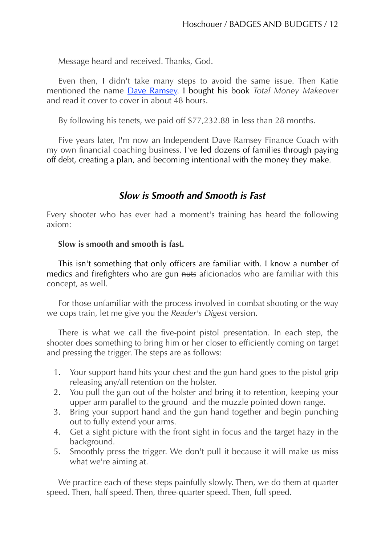Message heard and received. Thanks, God.

Even then, I didn't take many steps to avoid the same issue. Then Katie mentioned the name [Dave Ramsey](http://www.daveramsey.com/tools/budget-lite/). I bought his book *Total Money Makeover* and read it cover to cover in about 48 hours.

By following his tenets, we paid off \$77,232.88 in less than 28 months.

Five years later, I'm now an Independent Dave Ramsey Finance Coach with my own financial coaching business. I've led dozens of families through paying off debt, creating a plan, and becoming intentional with the money they make.

# *Slow is Smooth and Smooth is Fast*

Every shooter who has ever had a moment's training has heard the following axiom:

#### **Slow is smooth and smooth is fast.**

This isn't something that only officers are familiar with. I know a number of medics and firefighters who are gun nuts aficionados who are familiar with this concept, as well.

For those unfamiliar with the process involved in combat shooting or the way we cops train, let me give you the *Reader's Digest* version.

There is what we call the five-point pistol presentation. In each step, the shooter does something to bring him or her closer to efficiently coming on target and pressing the trigger. The steps are as follows:

- 1. Your support hand hits your chest and the gun hand goes to the pistol grip releasing any/all retention on the holster.
- 2. You pull the gun out of the holster and bring it to retention, keeping your upper arm parallel to the ground and the muzzle pointed down range.
- 3. Bring your support hand and the gun hand together and begin punching out to fully extend your arms.
- 4. Get a sight picture with the front sight in focus and the target hazy in the background.
- 5. Smoothly press the trigger. We don't pull it because it will make us miss what we're aiming at.

We practice each of these steps painfully slowly. Then, we do them at quarter speed. Then, half speed. Then, three-quarter speed. Then, full speed.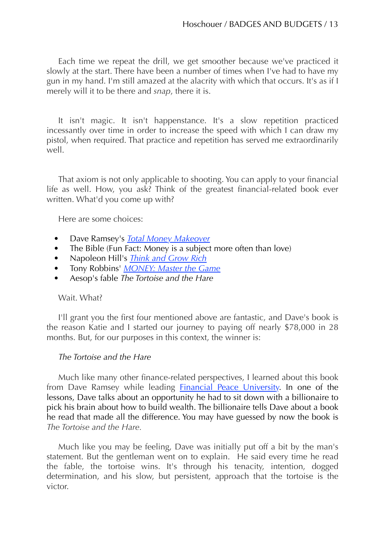Each time we repeat the drill, we get smoother because we've practiced it slowly at the start. There have been a number of times when I've had to have my gun in my hand. I'm still amazed at the alacrity with which that occurs. It's as if I merely will it to be there and *snap*, there it is.

It isn't magic. It isn't happenstance. It's a slow repetition practiced incessantly over time in order to increase the speed with which I can draw my pistol, when required. That practice and repetition has served me extraordinarily well.

That axiom is not only applicable to shooting. You can apply to your financial life as well. How, you ask? Think of the greatest financial-related book ever written. What'd you come up with?

Here are some choices:

- Dave Ramsey's *[Total Money Makeover](http://amzn.to/1GVJWrX)*
- The Bible (Fun Fact: Money is a subject more often than love)
- Napoleon Hill's *[Think and Grow Rich](http://amzn.to/1HGeVDe)*
- Tony Robbins' *[MONEY: Master the Game](http://amzn.to/1HGf3md)*
- Aesop's fable *The Tortoise and the Hare*

## Wait. What?

I'll grant you the first four mentioned above are fantastic, and Dave's book is the reason Katie and I started our journey to paying off nearly \$78,000 in 28 months. But, for our purposes in this context, the winner is:

## *The Tortoise and the Hare*

Much like many other finance-related perspectives, I learned about this book from Dave Ramsey while leading [Financial Peace University](http://www.daveramsey.com/fpu). In one of the lessons, Dave talks about an opportunity he had to sit down with a billionaire to pick his brain about how to build wealth. The billionaire tells Dave about a book he read that made all the difference. You may have guessed by now the book is *The Tortoise and the Hare.*

Much like you may be feeling, Dave was initially put off a bit by the man's statement. But the gentleman went on to explain. He said every time he read the fable, the tortoise wins. It's through his tenacity, intention, dogged determination, and his slow, but persistent, approach that the tortoise is the victor.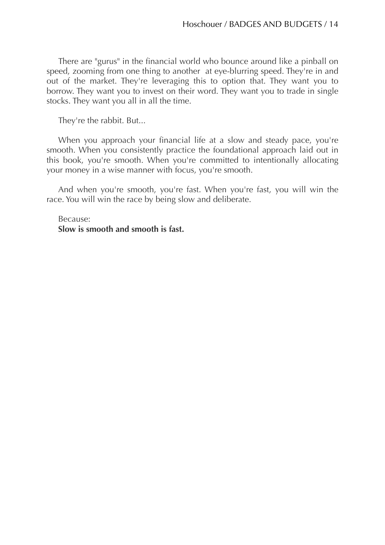There are "gurus" in the financial world who bounce around like a pinball on speed, zooming from one thing to another at eye-blurring speed. They're in and out of the market. They're leveraging this to option that. They want you to borrow. They want you to invest on their word. They want you to trade in single stocks. They want you all in all the time.

They're the rabbit. But...

When you approach your financial life at a slow and steady pace, you're smooth. When you consistently practice the foundational approach laid out in this book, you're smooth. When you're committed to intentionally allocating your money in a wise manner with focus, you're smooth.

And when you're smooth, you're fast. When you're fast, you will win the race. You will win the race by being slow and deliberate.

Because: **Slow is smooth and smooth is fast.**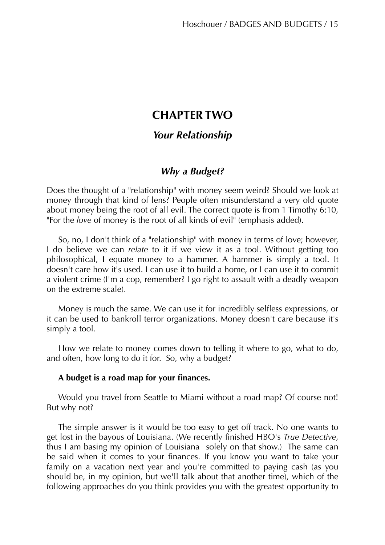# **CHAPTER TWO**

# *Your Relationship*

# *Why a Budget?*

Does the thought of a "relationship" with money seem weird? Should we look at money through that kind of lens? People often misunderstand a very old quote about money being the root of all evil. The correct quote is from 1 Timothy 6:10, "For the *love* of money is the root of all kinds of evil" (emphasis added).

So, no, I don't think of a "relationship" with money in terms of love; however, I do believe we can *relate* to it if we view it as a tool. Without getting too philosophical, I equate money to a hammer. A hammer is simply a tool. It doesn't care how it's used. I can use it to build a home, or I can use it to commit a violent crime (I'm a cop, remember? I go right to assault with a deadly weapon on the extreme scale).

Money is much the same. We can use it for incredibly selfless expressions, or it can be used to bankroll terror organizations. Money doesn't care because it's simply a tool.

How we relate to money comes down to telling it where to go, what to do, and often, how long to do it for. So, why a budget?

#### **A budget is a road map for your finances.**

Would you travel from Seattle to Miami without a road map? Of course not! But why not?

The simple answer is it would be too easy to get off track. No one wants to get lost in the bayous of Louisiana. (We recently finished HBO's *True Detective*, thus I am basing my opinion of Louisiana solely on that show.) The same can be said when it comes to your finances. If you know you want to take your family on a vacation next year and you're committed to paying cash (as you should be, in my opinion, but we'll talk about that another time), which of the following approaches do you think provides you with the greatest opportunity to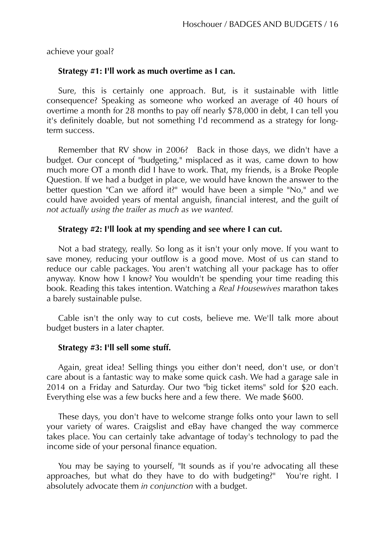achieve your goal?

#### **Strategy #1: I'll work as much overtime as I can.**

Sure, this is certainly one approach. But, is it sustainable with little consequence? Speaking as someone who worked an average of 40 hours of overtime a month for 28 months to pay off nearly \$78,000 in debt, I can tell you it's definitely doable, but not something I'd recommend as a strategy for longterm success.

Remember that RV show in 2006? Back in those days, we didn't have a budget. Our concept of "budgeting," misplaced as it was, came down to how much more OT a month did I have to work. That, my friends, is a Broke People Question. If we had a budget in place, we would have known the answer to the better question "Can we afford it?" would have been a simple "No," and we could have avoided years of mental anguish, financial interest, and the guilt of *not actually using the trailer as much as we wanted.* 

#### **Strategy #2: I'll look at my spending and see where I can cut.**

Not a bad strategy, really. So long as it isn't your only move. If you want to save money, reducing your outflow is a good move. Most of us can stand to reduce our cable packages. You aren't watching all your package has to offer anyway. Know how I know? You wouldn't be spending your time reading this book. Reading this takes intention. Watching a *Real Housewives* marathon takes a barely sustainable pulse.

Cable isn't the only way to cut costs, believe me. We'll talk more about budget busters in a later chapter.

#### **Strategy #3: I'll sell some stuff.**

Again, great idea! Selling things you either don't need, don't use, or don't care about is a fantastic way to make some quick cash. We had a garage sale in 2014 on a Friday and Saturday. Our two "big ticket items" sold for \$20 each. Everything else was a few bucks here and a few there. We made \$600.

These days, you don't have to welcome strange folks onto your lawn to sell your variety of wares. Craigslist and eBay have changed the way commerce takes place. You can certainly take advantage of today's technology to pad the income side of your personal finance equation.

You may be saying to yourself, "It sounds as if you're advocating all these approaches, but what do they have to do with budgeting?" You're right. I absolutely advocate them *in conjunction* with a budget.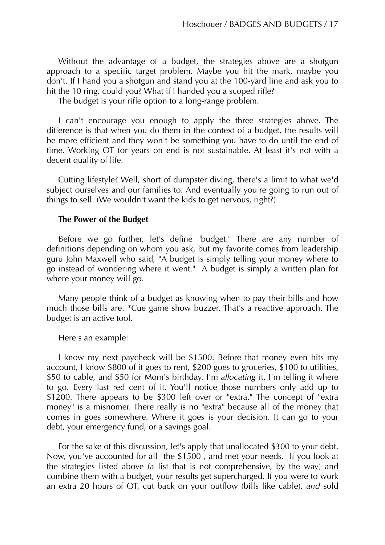Without the advantage of a budget, the strategies above are a shotgun approach to a specific target problem. Maybe you hit the mark, maybe you don't. If I hand you a shotgun and stand you at the 100-yard line and ask you to hit the 10 ring, could you? What if I handed you a scoped rifle?

The budget is your rifle option to a long-range problem.

I can't encourage you enough to apply the three strategies above. The difference is that when you do them in the context of a budget, the results will be more efficient and they won't be something you have to do until the end of time. Working OT for years on end is not sustainable. At least it's not with a decent quality of life.

Cutting lifestyle? Well, short of dumpster diving, there's a limit to what we'd subject ourselves and our families to. And eventually you're going to run out of things to sell. (We wouldn't want the kids to get nervous, right?)

#### **The Power of the Budget**

Before we go further, let's define "budget." There are any number of definitions depending on whom you ask, but my favorite comes from leadership guru John Maxwell who said, "A budget is simply telling your money where to go instead of wondering where it went." A budget is simply a written plan for where your money will go.

Many people think of a budget as knowing when to pay their bills and how much those bills are. \*Cue game show buzzer. That's a reactive approach. The budget is an active tool.

Here's an example:

I know my next paycheck will be \$1500. Before that money even hits my account, I know \$800 of it goes to rent, \$200 goes to groceries, \$100 to utilities, \$50 to cable, and \$50 for Mom's birthday. I'm *allocating* it. I'm telling it where to go. Every last red cent of it. You'll notice those numbers only add up to \$1200. There appears to be \$300 left over or "extra." The concept of "extra money" is a misnomer. There really is no "extra" because all of the money that comes in goes somewhere. Where it goes is your decision. It can go to your debt, your emergency fund, or a savings goal.

For the sake of this discussion, let's apply that unallocated \$300 to your debt. Now, you've accounted for all the \$1500 , and met your needs. If you look at the strategies listed above (a list that is not comprehensive, by the way) and combine them with a budget, your results get supercharged. If you were to work an extra 20 hours of OT, cut back on your outflow (bills like cable), *and* sold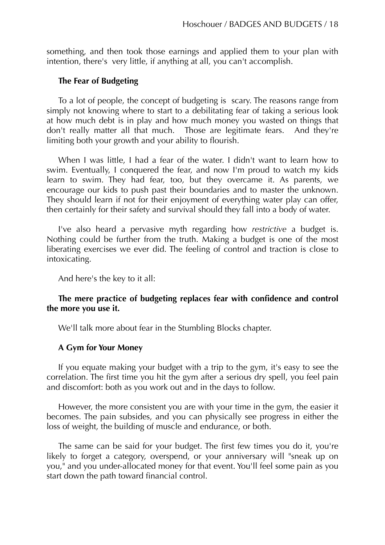something, and then took those earnings and applied them to your plan with intention, there's very little, if anything at all, you can't accomplish.

#### **The Fear of Budgeting**

To a lot of people, the concept of budgeting is scary. The reasons range from simply not knowing where to start to a debilitating fear of taking a serious look at how much debt is in play and how much money you wasted on things that don't really matter all that much. Those are legitimate fears. And they're limiting both your growth and your ability to flourish.

When I was little, I had a fear of the water. I didn't want to learn how to swim. Eventually, I conquered the fear, and now I'm proud to watch my kids learn to swim. They had fear, too, but they overcame it. As parents, we encourage our kids to push past their boundaries and to master the unknown. They should learn if not for their enjoyment of everything water play can offer, then certainly for their safety and survival should they fall into a body of water.

I've also heard a pervasive myth regarding how *restrictive* a budget is. Nothing could be further from the truth. Making a budget is one of the most liberating exercises we ever did. The feeling of control and traction is close to intoxicating.

And here's the key to it all:

#### **The mere practice of budgeting replaces fear with confidence and control the more you use it.**

We'll talk more about fear in the Stumbling Blocks chapter.

#### **A Gym for Your Money**

If you equate making your budget with a trip to the gym, it's easy to see the correlation. The first time you hit the gym after a serious dry spell, you feel pain and discomfort: both as you work out and in the days to follow.

However, the more consistent you are with your time in the gym, the easier it becomes. The pain subsides, and you can physically see progress in either the loss of weight, the building of muscle and endurance, or both.

The same can be said for your budget. The first few times you do it, you're likely to forget a category, overspend, or your anniversary will "sneak up on you," and you under-allocated money for that event. You'll feel some pain as you start down the path toward financial control.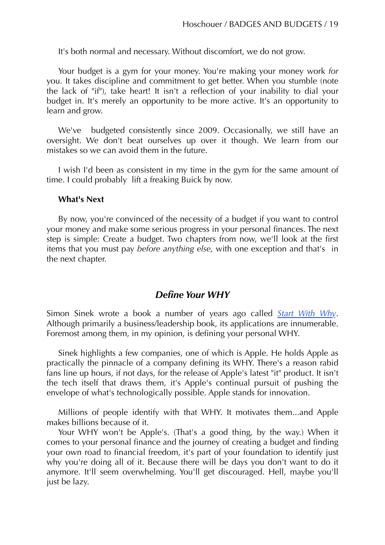It's both normal and necessary. Without discomfort, we do not grow.

Your budget is a gym for your money. You're making your money work *for*  you. It takes discipline and commitment to get better. When you stumble (note the lack of "if"), take heart! It isn't a reflection of your inability to dial your budget in. It's merely an opportunity to be more active. It's an opportunity to learn and grow.

We've budgeted consistently since 2009. Occasionally, we still have an oversight. We don't beat ourselves up over it though. We learn from our mistakes so we can avoid them in the future.

I wish I'd been as consistent in my time in the gym for the same amount of time. I could probably lift a freaking Buick by now.

#### **What's Next**

By now, you're convinced of the necessity of a budget if you want to control your money and make some serious progress in your personal finances. The next step is simple: Create a budget. Two chapters from now, we'll look at the first items that you must pay *before anything else,* with one exception and that's in the next chapter.

# *Define Your WHY*

Simon Sinek wrote a book a number of years ago called *[Start With Why](http://amzn.to/2A1mo5J)*. Although primarily a business/leadership book, its applications are innumerable. Foremost among them, in my opinion, is defining your personal WHY.

Sinek highlights a few companies, one of which is Apple. He holds Apple as practically the pinnacle of a company defining its WHY. There's a reason rabid fans line up hours, if not days, for the release of Apple's latest "it" product. It isn't the tech itself that draws them, it's Apple's continual pursuit of pushing the envelope of what's technologically possible. Apple stands for innovation.

Millions of people identify with that WHY. It motivates them...and Apple makes billions because of it.

Your WHY won't be Apple's. (That's a good thing, by the way.) When it comes to your personal finance and the journey of creating a budget and finding your own road to financial freedom, it's part of your foundation to identify just why you're doing all of it. Because there will be days you don't want to do it anymore. It'll seem overwhelming. You'll get discouraged. Hell, maybe you'll just be lazy.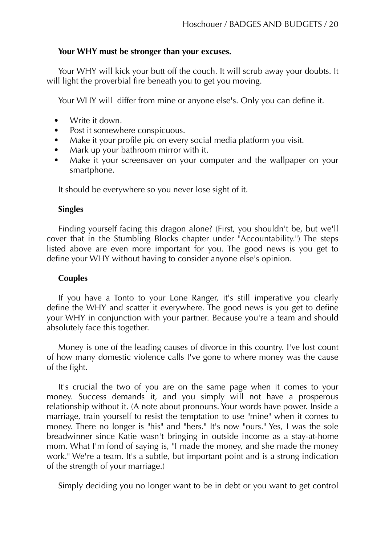## **Your WHY must be stronger than your excuses.**

Your WHY will kick your butt off the couch. It will scrub away your doubts. It will light the proverbial fire beneath you to get you moving.

Your WHY will differ from mine or anyone else's. Only you can define it.

- Write it down.
- Post it somewhere conspicuous.
- Make it your profile pic on every social media platform you visit.
- Mark up your bathroom mirror with it.
- Make it your screensaver on your computer and the wallpaper on your smartphone.

It should be everywhere so you never lose sight of it.

# **Singles**

Finding yourself facing this dragon alone? (First, you shouldn't be, but we'll cover that in the Stumbling Blocks chapter under "Accountability.") The steps listed above are even more important for you. The good news is you get to define your WHY without having to consider anyone else's opinion.

# **Couples**

If you have a Tonto to your Lone Ranger, it's still imperative you clearly define the WHY and scatter it everywhere. The good news is you get to define your WHY in conjunction with your partner. Because you're a team and should absolutely face this together.

Money is one of the leading causes of divorce in this country. I've lost count of how many domestic violence calls I've gone to where money was the cause of the fight.

It's crucial the two of you are on the same page when it comes to your money. Success demands it, and you simply will not have a prosperous relationship without it. (A note about pronouns. Your words have power. Inside a marriage, train yourself to resist the temptation to use "mine" when it comes to money. There no longer is "his" and "hers." It's now "ours." Yes, I was the sole breadwinner since Katie wasn't bringing in outside income as a stay-at-home mom. What I'm fond of saying is, "I made the money, and she made the money work." We're a team. It's a subtle, but important point and is a strong indication of the strength of your marriage.)

Simply deciding you no longer want to be in debt or you want to get control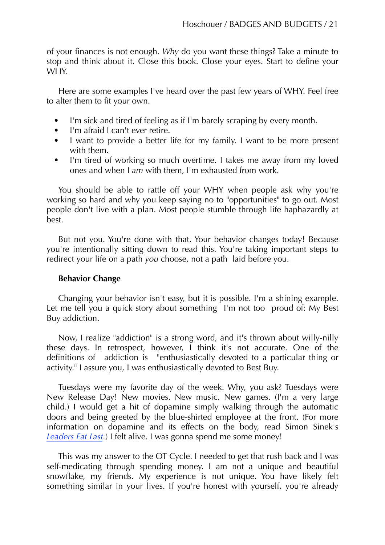of your finances is not enough. *Why* do you want these things? Take a minute to stop and think about it. Close this book. Close your eyes. Start to define your WHY.

Here are some examples I've heard over the past few years of WHY. Feel free to alter them to fit your own.

- I'm sick and tired of feeling as if I'm barely scraping by every month.
- I'm afraid I can't ever retire.
- I want to provide a better life for my family. I want to be more present with them.
- I'm tired of working so much overtime. I takes me away from my loved ones and when I *am* with them, I'm exhausted from work.

You should be able to rattle off your WHY when people ask why you're working so hard and why you keep saying no to "opportunities" to go out. Most people don't live with a plan. Most people stumble through life haphazardly at best.

But not you. You're done with that. Your behavior changes today! Because you're intentionally sitting down to read this. You're taking important steps to redirect your life on a path *you* choose, not a path laid before you.

## **Behavior Change**

Changing your behavior isn't easy, but it is possible. I'm a shining example. Let me tell you a quick story about something I'm not too proud of: My Best Buy addiction.

Now, I realize "addiction" is a strong word, and it's thrown about willy-nilly these days. In retrospect, however, I think it's not accurate. One of the definitions of addiction is "enthusiastically devoted to a particular thing or activity." I assure you, I was enthusiastically devoted to Best Buy.

Tuesdays were my favorite day of the week. Why, you ask? Tuesdays were New Release Day! New movies. New music. New games. (I'm a very large child.) I would get a hit of dopamine simply walking through the automatic doors and being greeted by the blue-shirted employee at the front. (For more information on dopamine and its effects on the body, read Simon Sinek's *[Leaders Eat Last](http://amzn.to/2hMRCmH).*) I felt alive. I was gonna spend me some money!

This was my answer to the OT Cycle. I needed to get that rush back and I was self-medicating through spending money. I am not a unique and beautiful snowflake, my friends. My experience is not unique. You have likely felt something similar in your lives. If you're honest with yourself, you're already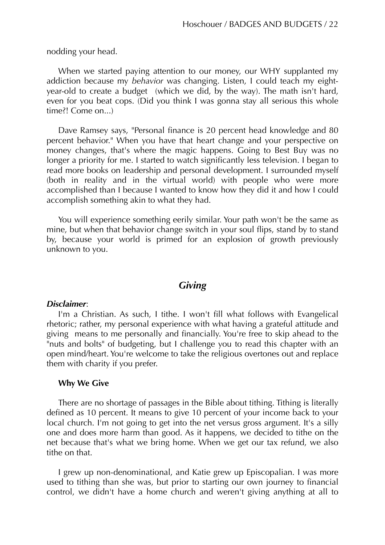nodding your head.

When we started paying attention to our money, our WHY supplanted my addiction because my *behavior* was changing. Listen, I could teach my eightyear-old to create a budget (which we did, by the way). The math isn't hard, even for you beat cops. (Did you think I was gonna stay all serious this whole time?! Come on...)

Dave Ramsey says, "Personal finance is 20 percent head knowledge and 80 percent behavior." When you have that heart change and your perspective on money changes, that's where the magic happens. Going to Best Buy was no longer a priority for me. I started to watch significantly less television. I began to read more books on leadership and personal development. I surrounded myself (both in reality and in the virtual world) with people who were more accomplished than I because I wanted to know how they did it and how I could accomplish something akin to what they had.

You will experience something eerily similar. Your path won't be the same as mine, but when that behavior change switch in your soul flips, stand by to stand by, because your world is primed for an explosion of growth previously unknown to you.

## *Giving*

#### *Disclaimer*:

I'm a Christian. As such, I tithe. I won't fill what follows with Evangelical rhetoric; rather, my personal experience with what having a grateful attitude and giving means to me personally and financially. You're free to skip ahead to the "nuts and bolts" of budgeting, but I challenge you to read this chapter with an open mind/heart. You're welcome to take the religious overtones out and replace them with charity if you prefer.

#### **Why We Give**

There are no shortage of passages in the Bible about tithing. Tithing is literally defined as 10 percent. It means to give 10 percent of your income back to your local church. I'm not going to get into the net versus gross argument. It's a silly one and does more harm than good. As it happens, we decided to tithe on the net because that's what we bring home. When we get our tax refund, we also tithe on that.

I grew up non-denominational, and Katie grew up Episcopalian. I was more used to tithing than she was, but prior to starting our own journey to financial control, we didn't have a home church and weren't giving anything at all to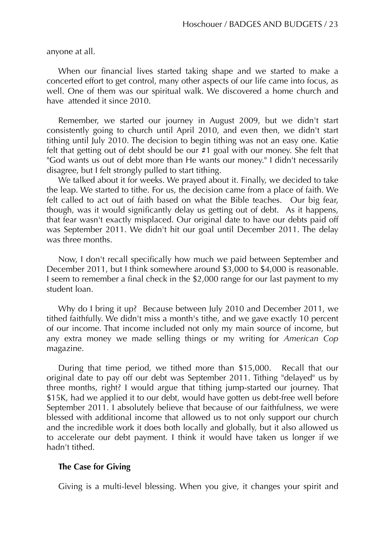anyone at all.

When our financial lives started taking shape and we started to make a concerted effort to get control, many other aspects of our life came into focus, as well. One of them was our spiritual walk. We discovered a home church and have attended it since 2010.

Remember, we started our journey in August 2009, but we didn't start consistently going to church until April 2010, and even then, we didn't start tithing until July 2010. The decision to begin tithing was not an easy one. Katie felt that getting out of debt should be our #1 goal with our money. She felt that "God wants us out of debt more than He wants our money." I didn't necessarily disagree, but I felt strongly pulled to start tithing.

We talked about it for weeks. We prayed about it. Finally, we decided to take the leap. We started to tithe. For us, the decision came from a place of faith. We felt called to act out of faith based on what the Bible teaches. Our big fear, though, was it would significantly delay us getting out of debt. As it happens, that fear wasn't exactly misplaced. Our original date to have our debts paid off was September 2011. We didn't hit our goal until December 2011. The delay was three months.

Now, I don't recall specifically how much we paid between September and December 2011, but I think somewhere around \$3,000 to \$4,000 is reasonable. I seem to remember a final check in the \$2,000 range for our last payment to my student loan.

Why do I bring it up? Because between July 2010 and December 2011, we tithed faithfully. We didn't miss a month's tithe, and we gave exactly 10 percent of our income. That income included not only my main source of income, but any extra money we made selling things or my writing for *American Cop* magazine.

During that time period, we tithed more than \$15,000. Recall that our original date to pay off our debt was September 2011. Tithing "delayed" us by three months, right? I would argue that tithing jump-started our journey. That \$15K, had we applied it to our debt, would have gotten us debt-free well before September 2011. I absolutely believe that because of our faithfulness, we were blessed with additional income that allowed us to not only support our church and the incredible work it does both locally and globally, but it also allowed us to accelerate our debt payment. I think it would have taken us longer if we hadn't tithed.

#### **The Case for Giving**

Giving is a multi-level blessing. When you give, it changes your spirit and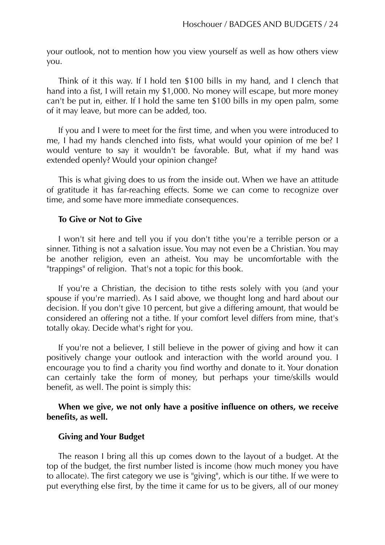your outlook, not to mention how you view yourself as well as how others view you.

Think of it this way. If I hold ten \$100 bills in my hand, and I clench that hand into a fist, I will retain my \$1,000. No money will escape, but more money can't be put in, either. If I hold the same ten \$100 bills in my open palm, some of it may leave, but more can be added, too.

If you and I were to meet for the first time, and when you were introduced to me, I had my hands clenched into fists, what would your opinion of me be? I would venture to say it wouldn't be favorable. But, what if my hand was extended openly? Would your opinion change?

This is what giving does to us from the inside out. When we have an attitude of gratitude it has far-reaching effects. Some we can come to recognize over time, and some have more immediate consequences.

#### **To Give or Not to Give**

I won't sit here and tell you if you don't tithe you're a terrible person or a sinner. Tithing is not a salvation issue. You may not even be a Christian. You may be another religion, even an atheist. You may be uncomfortable with the "trappings" of religion. That's not a topic for this book.

If you're a Christian, the decision to tithe rests solely with you (and your spouse if you're married). As I said above, we thought long and hard about our decision. If you don't give 10 percent, but give a differing amount, that would be considered an offering not a tithe. If your comfort level differs from mine, that's totally okay. Decide what's right for you.

If you're not a believer, I still believe in the power of giving and how it can positively change your outlook and interaction with the world around you. I encourage you to find a charity you find worthy and donate to it. Your donation can certainly take the form of money, but perhaps your time/skills would benefit, as well. The point is simply this:

#### **When we give, we not only have a positive influence on others, we receive benefits, as well.**

#### **Giving and Your Budget**

The reason I bring all this up comes down to the layout of a budget. At the top of the budget, the first number listed is income (how much money you have to allocate). The first category we use is "giving", which is our tithe. If we were to put everything else first, by the time it came for us to be givers, all of our money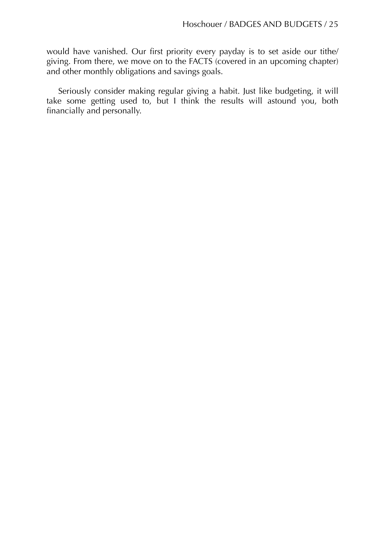would have vanished. Our first priority every payday is to set aside our tithe/ giving. From there, we move on to the FACTS (covered in an upcoming chapter) and other monthly obligations and savings goals.

Seriously consider making regular giving a habit. Just like budgeting, it will take some getting used to, but I think the results will astound you, both financially and personally.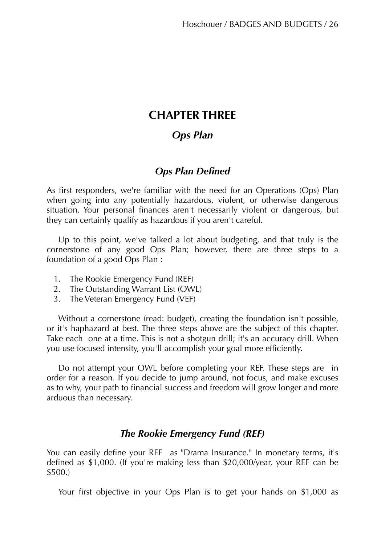# **CHAPTER THREE**

# *Ops Plan*

# *Ops Plan Defined*

As first responders, we're familiar with the need for an Operations (Ops) Plan when going into any potentially hazardous, violent, or otherwise dangerous situation. Your personal finances aren't necessarily violent or dangerous, but they can certainly qualify as hazardous if you aren't careful.

Up to this point, we've talked a lot about budgeting, and that truly is the cornerstone of any good Ops Plan; however, there are three steps to a foundation of a good Ops Plan :

- 1. The Rookie Emergency Fund (REF)
- 2. The Outstanding Warrant List (OWL)
- 3. The Veteran Emergency Fund (VEF)

Without a cornerstone (read: budget), creating the foundation isn't possible, or it's haphazard at best. The three steps above are the subject of this chapter. Take each one at a time. This is not a shotgun drill; it's an accuracy drill. When you use focused intensity, you'll accomplish your goal more efficiently.

Do not attempt your OWL before completing your REF. These steps are in order for a reason. If you decide to jump around, not focus, and make excuses as to why, your path to financial success and freedom will grow longer and more arduous than necessary.

# *The Rookie Emergency Fund (REF)*

You can easily define your REF as "Drama Insurance." In monetary terms, it's defined as \$1,000. (If you're making less than \$20,000/year, your REF can be \$500.)

Your first objective in your Ops Plan is to get your hands on \$1,000 as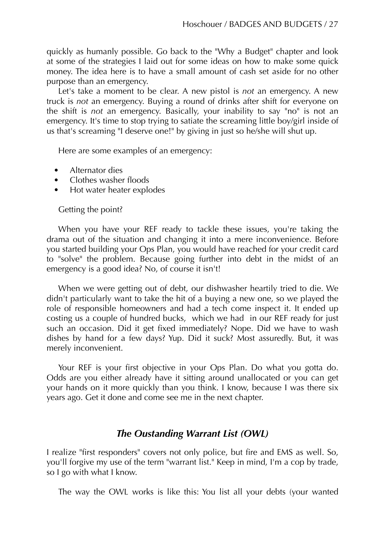quickly as humanly possible. Go back to the "Why a Budget" chapter and look at some of the strategies I laid out for some ideas on how to make some quick money. The idea here is to have a small amount of cash set aside for no other purpose than an emergency.

Let's take a moment to be clear. A new pistol is *not* an emergency. A new truck is *not* an emergency. Buying a round of drinks after shift for everyone on the shift is *not* an emergency. Basically, your inability to say "no" is not an emergency. It's time to stop trying to satiate the screaming little boy/girl inside of us that's screaming "I deserve one!" by giving in just so he/she will shut up.

Here are some examples of an emergency:

- Alternator dies
- Clothes washer floods
- Hot water heater explodes

## Getting the point?

When you have your REF ready to tackle these issues, you're taking the drama out of the situation and changing it into a mere inconvenience. Before you started building your Ops Plan, you would have reached for your credit card to "solve" the problem. Because going further into debt in the midst of an emergency is a good idea? No, of course it isn't!

When we were getting out of debt, our dishwasher heartily tried to die. We didn't particularly want to take the hit of a buying a new one, so we played the role of responsible homeowners and had a tech come inspect it. It ended up costing us a couple of hundred bucks, which we had in our REF ready for just such an occasion. Did it get fixed immediately? Nope. Did we have to wash dishes by hand for a few days? Yup. Did it suck? Most assuredly. But, it was merely inconvenient.

Your REF is your first objective in your Ops Plan. Do what you gotta do. Odds are you either already have it sitting around unallocated or you can get your hands on it more quickly than you think. I know, because I was there six years ago. Get it done and come see me in the next chapter.

# *The Oustanding Warrant List (OWL)*

I realize "first responders" covers not only police, but fire and EMS as well. So, you'll forgive my use of the term "warrant list." Keep in mind, I'm a cop by trade, so I go with what I know.

The way the OWL works is like this: You list all your debts (your wanted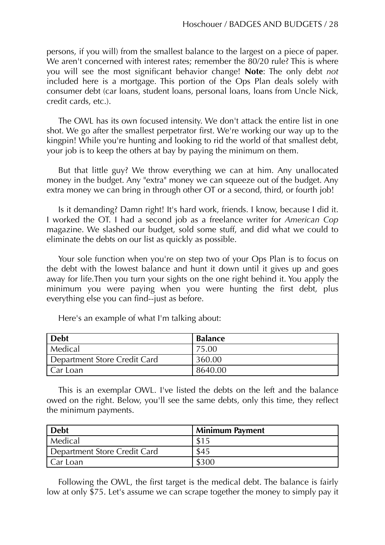persons, if you will) from the smallest balance to the largest on a piece of paper. We aren't concerned with interest rates; remember the 80/20 rule? This is where you will see the most significant behavior change! **Note**: The only debt *not* included here is a mortgage. This portion of the Ops Plan deals solely with consumer debt (car loans, student loans, personal loans, loans from Uncle Nick, credit cards, etc.).

The OWL has its own focused intensity. We don't attack the entire list in one shot. We go after the smallest perpetrator first. We're working our way up to the kingpin! While you're hunting and looking to rid the world of that smallest debt, your job is to keep the others at bay by paying the minimum on them.

But that little guy? We throw everything we can at him. Any unallocated money in the budget. Any "extra" money we can squeeze out of the budget. Any extra money we can bring in through other OT or a second, third, or fourth job!

Is it demanding? Damn right! It's hard work, friends. I know, because I did it. I worked the OT. I had a second job as a freelance writer for *American Cop* magazine. We slashed our budget, sold some stuff, and did what we could to eliminate the debts on our list as quickly as possible.

Your sole function when you're on step two of your Ops Plan is to focus on the debt with the lowest balance and hunt it down until it gives up and goes away for life.Then you turn your sights on the one right behind it. You apply the minimum you were paying when you were hunting the first debt, plus everything else you can find--just as before.

| <b>Debt</b>                  | <b>Balance</b> |
|------------------------------|----------------|
| Medical                      | 75.00          |
| Department Store Credit Card | 360.00         |
| Car Loan                     | 8640.00        |

Here's an example of what I'm talking about:

This is an exemplar OWL. I've listed the debts on the left and the balance owed on the right. Below, you'll see the same debts, only this time, they reflect the minimum payments.

| <b>Debt</b>                  | <b>Minimum Payment</b> |
|------------------------------|------------------------|
| Medical                      |                        |
| Department Store Credit Card | \$45                   |
| Car Loan                     | \$300                  |

Following the OWL, the first target is the medical debt. The balance is fairly low at only \$75. Let's assume we can scrape together the money to simply pay it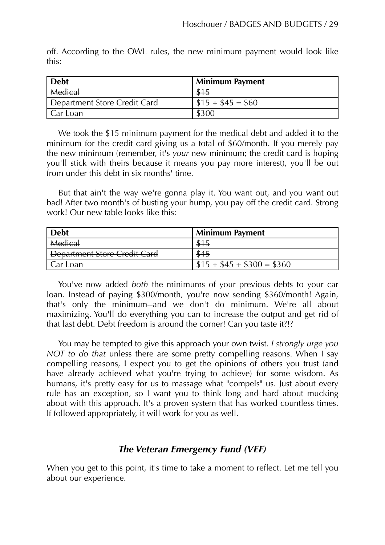off. According to the OWL rules, the new minimum payment would look like this:

| <b>Debt</b>                  | <b>Minimum Payment</b> |
|------------------------------|------------------------|
| <b>Medical</b>               |                        |
| Department Store Credit Card | $\$15 + \$45 = \$60$   |
| Car Loan                     | \$300                  |

We took the \$15 minimum payment for the medical debt and added it to the minimum for the credit card giving us a total of \$60/month. If you merely pay the new minimum (remember, it's *your* new minimum; the credit card is hoping you'll stick with theirs because it means you pay more interest), you'll be out from under this debt in six months' time.

But that ain't the way we're gonna play it. You want out, and you want out bad! After two month's of busting your hump, you pay off the credit card. Strong work! Our new table looks like this:

| <b>Debt</b>                         | <b>Minimum Payment</b>    |
|-------------------------------------|---------------------------|
| <b>Medical</b>                      |                           |
| <b>Department Store Credit Card</b> | \$45                      |
| Car Loan                            | $$15 + $45 + $300 = $360$ |

You've now added *both* the minimums of your previous debts to your car loan. Instead of paying \$300/month, you're now sending \$360/month! Again, that's only the minimum--and we don't do minimum. We're all about maximizing. You'll do everything you can to increase the output and get rid of that last debt. Debt freedom is around the corner! Can you taste it?!?

You may be tempted to give this approach your own twist. *I strongly urge you NOT to do that* unless there are some pretty compelling reasons. When I say compelling reasons, I expect you to get the opinions of others you trust (and have already achieved what you're trying to achieve) for some wisdom. As humans, it's pretty easy for us to massage what "compels" us. Just about every rule has an exception, so I want you to think long and hard about mucking about with this approach. It's a proven system that has worked countless times. If followed appropriately, it will work for you as well.

# *The Veteran Emergency Fund (VEF)*

When you get to this point, it's time to take a moment to reflect. Let me tell you about our experience.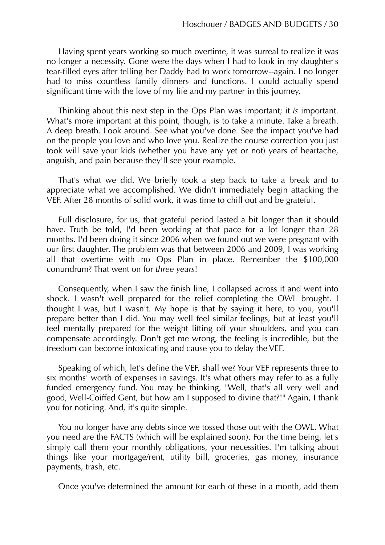Having spent years working so much overtime, it was surreal to realize it was no longer a necessity. Gone were the days when I had to look in my daughter's tear-filled eyes after telling her Daddy had to work tomorrow--again. I no longer had to miss countless family dinners and functions. I could actually spend significant time with the love of my life and my partner in this journey.

Thinking about this next step in the Ops Plan was important; it *is* important. What's more important at this point, though, is to take a minute. Take a breath. A deep breath. Look around. See what you've done. See the impact you've had on the people you love and who love you. Realize the course correction you just took will save your kids (whether you have any yet or not) years of heartache, anguish, and pain because they'll see your example.

That's what we did. We briefly took a step back to take a break and to appreciate what we accomplished. We didn't immediately begin attacking the VEF. After 28 months of solid work, it was time to chill out and be grateful.

Full disclosure, for us, that grateful period lasted a bit longer than it should have. Truth be told, I'd been working at that pace for a lot longer than 28 months. I'd been doing it since 2006 when we found out we were pregnant with our first daughter. The problem was that between 2006 and 2009, I was working all that overtime with no Ops Plan in place. Remember the \$100,000 conundrum? That went on for *three years*!

Consequently, when I saw the finish line, I collapsed across it and went into shock. I wasn't well prepared for the relief completing the OWL brought. I thought I was, but I wasn't. My hope is that by saying it here, to you, you'll prepare better than I did. You may well feel similar feelings, but at least you'll feel mentally prepared for the weight lifting off your shoulders, and you can compensate accordingly. Don't get me wrong, the feeling is incredible, but the freedom can become intoxicating and cause you to delay the VEF.

Speaking of which, let's define the VEF, shall we? Your VEF represents three to six months' worth of expenses in savings. It's what others may refer to as a fully funded emergency fund. You may be thinking, "Well, that's all very well and good, Well-Coiffed Gent, but how am I supposed to divine that?!" Again, I thank you for noticing. And, it's quite simple.

You no longer have any debts since we tossed those out with the OWL. What you need are the FACTS (which will be explained soon). For the time being, let's simply call them your monthly obligations, your necessities. I'm talking about things like your mortgage/rent, utility bill, groceries, gas money, insurance payments, trash, etc.

Once you've determined the amount for each of these in a month, add them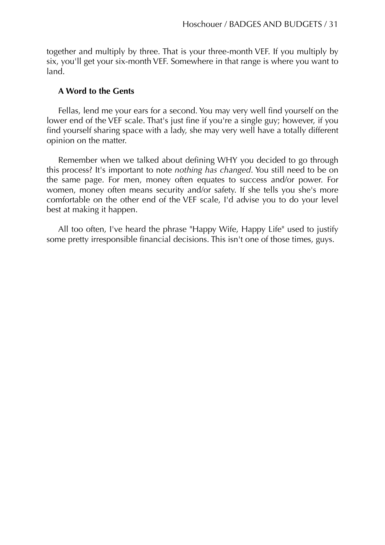together and multiply by three. That is your three-month VEF. If you multiply by six, you'll get your six-month VEF. Somewhere in that range is where you want to land.

#### **A Word to the Gents**

Fellas, lend me your ears for a second. You may very well find yourself on the lower end of the VEF scale. That's just fine if you're a single guy; however, if you find yourself sharing space with a lady, she may very well have a totally different opinion on the matter.

Remember when we talked about defining WHY you decided to go through this process? It's important to note *nothing has changed*. You still need to be on the same page. For men, money often equates to success and/or power. For women, money often means security and/or safety. If she tells you she's more comfortable on the other end of the VEF scale, I'd advise you to do your level best at making it happen.

All too often, I've heard the phrase "Happy Wife, Happy Life" used to justify some pretty irresponsible financial decisions. This isn't one of those times, guys.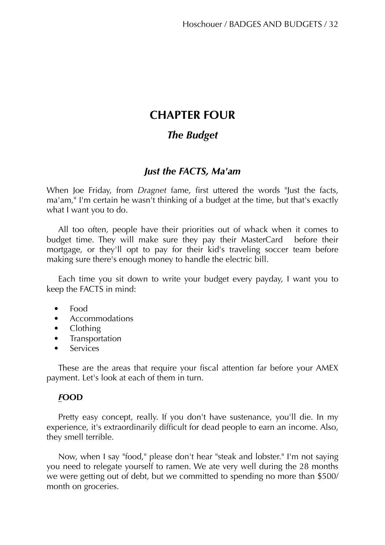# **CHAPTER FOUR**

# *The Budget*

# *Just the FACTS, Ma'am*

When Joe Friday, from *Dragnet* fame, first uttered the words "Just the facts, ma'am," I'm certain he wasn't thinking of a budget at the time, but that's exactly what I want you to do.

All too often, people have their priorities out of whack when it comes to budget time. They will make sure they pay their MasterCard before their mortgage, or they'll opt to pay for their kid's traveling soccer team before making sure there's enough money to handle the electric bill.

Each time you sit down to write your budget every payday, I want you to keep the FACTS in mind:

- Food
- Accommodations
- Clothing
- **Transportation**
- **Services**

These are the areas that require your fiscal attention far before your AMEX payment. Let's look at each of them in turn.

# *F***OOD**

Pretty easy concept, really. If you don't have sustenance, you'll die. In my experience, it's extraordinarily difficult for dead people to earn an income. Also, they smell terrible.

Now, when I say "food," please don't hear "steak and lobster." I'm not saying you need to relegate yourself to ramen. We ate very well during the 28 months we were getting out of debt, but we committed to spending no more than \$500/ month on groceries.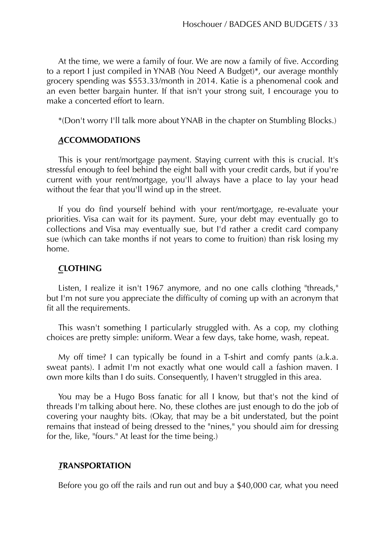At the time, we were a family of four. We are now a family of five. According to a report I just compiled in YNAB (You Need A Budget)\*, our average monthly grocery spending was \$553.33/month in 2014. Katie is a phenomenal cook and an even better bargain hunter. If that isn't your strong suit, I encourage you to make a concerted effort to learn.

\*(Don't worry I'll talk more about YNAB in the chapter on Stumbling Blocks.)

## *A***CCOMMODATIONS**

This is your rent/mortgage payment. Staying current with this is crucial. It's stressful enough to feel behind the eight ball with your credit cards, but if you're current with your rent/mortgage, you'll always have a place to lay your head without the fear that you'll wind up in the street.

If you do find yourself behind with your rent/mortgage, re-evaluate your priorities. Visa can wait for its payment. Sure, your debt may eventually go to collections and Visa may eventually sue, but I'd rather a credit card company sue (which can take months if not years to come to fruition) than risk losing my home.

## *C***LOTHING**

Listen, I realize it isn't 1967 anymore, and no one calls clothing "threads," but I'm not sure you appreciate the difficulty of coming up with an acronym that fit all the requirements.

This wasn't something I particularly struggled with. As a cop, my clothing choices are pretty simple: uniform. Wear a few days, take home, wash, repeat.

My off time? I can typically be found in a T-shirt and comfy pants (a.k.a. sweat pants). I admit I'm not exactly what one would call a fashion maven. I own more kilts than I do suits. Consequently, I haven't struggled in this area.

You may be a Hugo Boss fanatic for all I know, but that's not the kind of threads I'm talking about here. No, these clothes are just enough to do the job of covering your naughty bits. (Okay, that may be a bit understated, but the point remains that instead of being dressed to the "nines," you should aim for dressing for the, like, "fours." At least for the time being.)

## *T***RANSPORTATION**

Before you go off the rails and run out and buy a \$40,000 car, what you need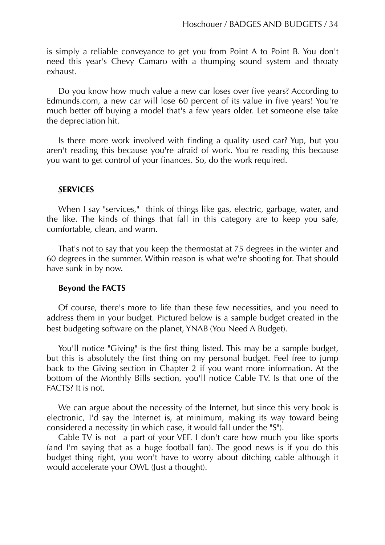is simply a reliable conveyance to get you from Point A to Point B. You don't need this year's Chevy Camaro with a thumping sound system and throaty exhaust.

Do you know how much value a new car loses over five years? According to Edmunds.com, a new car will lose 60 percent of its value in five years! You're much better off buying a model that's a few years older. Let someone else take the depreciation hit.

Is there more work involved with finding a quality used car? Yup, but you aren't reading this because you're afraid of work. You're reading this because you want to get control of your finances. So, do the work required.

#### *S***ERVICES**

When I say "services," think of things like gas, electric, garbage, water, and the like. The kinds of things that fall in this category are to keep you safe, comfortable, clean, and warm.

That's not to say that you keep the thermostat at 75 degrees in the winter and 60 degrees in the summer. Within reason is what we're shooting for. That should have sunk in by now.

#### **Beyond the FACTS**

Of course, there's more to life than these few necessities, and you need to address them in your budget. Pictured below is a sample budget created in the best budgeting software on the planet, YNAB (You Need A Budget).

You'll notice "Giving" is the first thing listed. This may be a sample budget, but this is absolutely the first thing on my personal budget. Feel free to jump back to the Giving section in Chapter 2 if you want more information. At the bottom of the Monthly Bills section, you'll notice Cable TV. Is that one of the FACTS? It is not.

We can argue about the necessity of the Internet, but since this very book is electronic, I'd say the Internet is, at minimum, making its way toward being considered a necessity (in which case, it would fall under the "S").

Cable TV is not a part of your VEF. I don't care how much you like sports (and I'm saying that as a huge football fan). The good news is if you do this budget thing right, you won't have to worry about ditching cable although it would accelerate your OWL (Just a thought).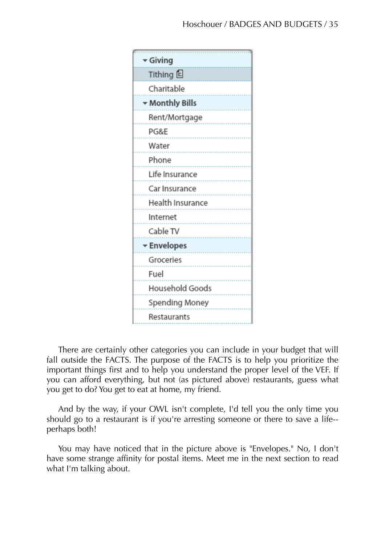

There are certainly other categories you can include in your budget that will fall outside the FACTS. The purpose of the FACTS is to help you prioritize the important things first and to help you understand the proper level of the VEF. If you can afford everything, but not (as pictured above) restaurants, guess what you get to do? You get to eat at home, my friend.

And by the way, if your OWL isn't complete, I'd tell you the only time you should go to a restaurant is if you're arresting someone or there to save a life- perhaps both!

You may have noticed that in the picture above is "Envelopes." No, I don't have some strange affinity for postal items. Meet me in the next section to read what I'm talking about.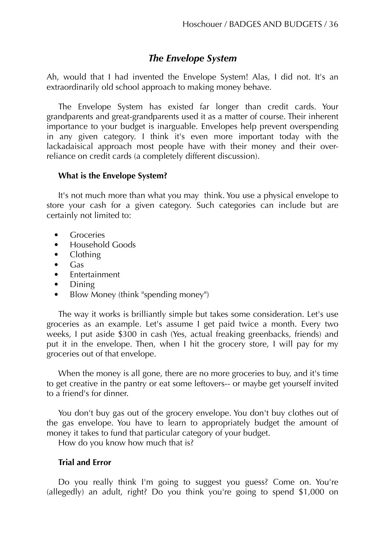# *The Envelope System*

Ah, would that I had invented the Envelope System! Alas, I did not. It's an extraordinarily old school approach to making money behave.

The Envelope System has existed far longer than credit cards. Your grandparents and great-grandparents used it as a matter of course. Their inherent importance to your budget is inarguable. Envelopes help prevent overspending in any given category. I think it's even more important today with the lackadaisical approach most people have with their money and their overreliance on credit cards (a completely different discussion).

## **What is the Envelope System?**

It's not much more than what you may think. You use a physical envelope to store your cash for a given category. Such categories can include but are certainly not limited to:

- **Groceries**
- Household Goods
- Clothing
- Gas
- Entertainment
- Dining
- Blow Money (think "spending money")

The way it works is brilliantly simple but takes some consideration. Let's use groceries as an example. Let's assume I get paid twice a month. Every two weeks, I put aside \$300 in cash (Yes, actual freaking greenbacks, friends) and put it in the envelope. Then, when I hit the grocery store, I will pay for my groceries out of that envelope.

When the money is all gone, there are no more groceries to buy, and it's time to get creative in the pantry or eat some leftovers-- or maybe get yourself invited to a friend's for dinner.

You don't buy gas out of the grocery envelope. You don't buy clothes out of the gas envelope. You have to learn to appropriately budget the amount of money it takes to fund that particular category of your budget.

How do you know how much that is?

## **Trial and Error**

Do you really think I'm going to suggest you guess? Come on. You're (allegedly) an adult, right? Do you think you're going to spend \$1,000 on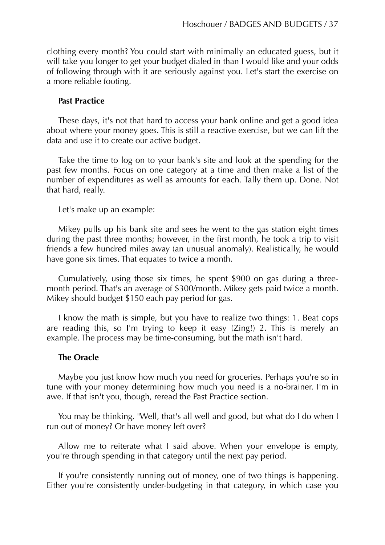clothing every month? You could start with minimally an educated guess, but it will take you longer to get your budget dialed in than I would like and your odds of following through with it are seriously against you. Let's start the exercise on a more reliable footing.

#### **Past Practice**

These days, it's not that hard to access your bank online and get a good idea about where your money goes. This is still a reactive exercise, but we can lift the data and use it to create our active budget.

Take the time to log on to your bank's site and look at the spending for the past few months. Focus on one category at a time and then make a list of the number of expenditures as well as amounts for each. Tally them up. Done. Not that hard, really.

Let's make up an example:

Mikey pulls up his bank site and sees he went to the gas station eight times during the past three months; however, in the first month, he took a trip to visit friends a few hundred miles away (an unusual anomaly). Realistically, he would have gone six times. That equates to twice a month.

Cumulatively, using those six times, he spent \$900 on gas during a threemonth period. That's an average of \$300/month. Mikey gets paid twice a month. Mikey should budget \$150 each pay period for gas.

I know the math is simple, but you have to realize two things: 1. Beat cops are reading this, so I'm trying to keep it easy (Zing!) 2. This is merely an example. The process may be time-consuming, but the math isn't hard.

#### **The Oracle**

Maybe you just know how much you need for groceries. Perhaps you're so in tune with your money determining how much you need is a no-brainer. I'm in awe. If that isn't you, though, reread the Past Practice section.

You may be thinking, "Well, that's all well and good, but what do I do when I run out of money? Or have money left over?

Allow me to reiterate what I said above. When your envelope is empty, you're through spending in that category until the next pay period.

If you're consistently running out of money, one of two things is happening. Either you're consistently under-budgeting in that category, in which case you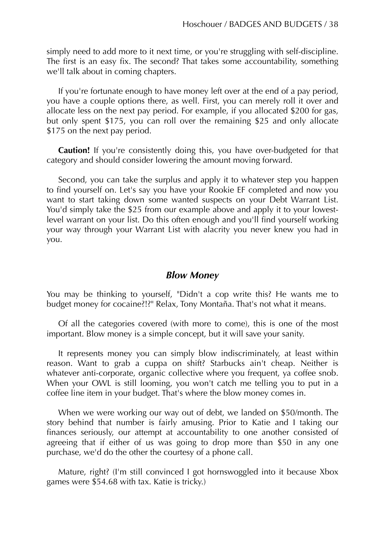simply need to add more to it next time, or you're struggling with self-discipline. The first is an easy fix. The second? That takes some accountability, something we'll talk about in coming chapters.

If you're fortunate enough to have money left over at the end of a pay period, you have a couple options there, as well. First, you can merely roll it over and allocate less on the next pay period. For example, if you allocated \$200 for gas, but only spent \$175, you can roll over the remaining \$25 and only allocate \$175 on the next pay period.

**Caution!** If you're consistently doing this, you have over-budgeted for that category and should consider lowering the amount moving forward.

Second, you can take the surplus and apply it to whatever step you happen to find yourself on. Let's say you have your Rookie EF completed and now you want to start taking down some wanted suspects on your Debt Warrant List. You'd simply take the \$25 from our example above and apply it to your lowestlevel warrant on your list. Do this often enough and you'll find yourself working your way through your Warrant List with alacrity you never knew you had in you.

## *Blow Money*

You may be thinking to yourself, "Didn't a cop write this? He wants me to budget money for cocaine?!?" Relax, Tony Montaña. That's not what it means.

Of all the categories covered (with more to come), this is one of the most important. Blow money is a simple concept, but it will save your sanity.

It represents money you can simply blow indiscriminately, at least within reason. Want to grab a cuppa on shift? Starbucks ain't cheap. Neither is whatever anti-corporate, organic collective where you frequent, ya coffee snob. When your OWL is still looming, you won't catch me telling you to put in a coffee line item in your budget. That's where the blow money comes in.

When we were working our way out of debt, we landed on \$50/month. The story behind that number is fairly amusing. Prior to Katie and I taking our finances seriously, our attempt at accountability to one another consisted of agreeing that if either of us was going to drop more than \$50 in any one purchase, we'd do the other the courtesy of a phone call.

Mature, right? (I'm still convinced I got hornswoggled into it because Xbox games were \$54.68 with tax. Katie is tricky.)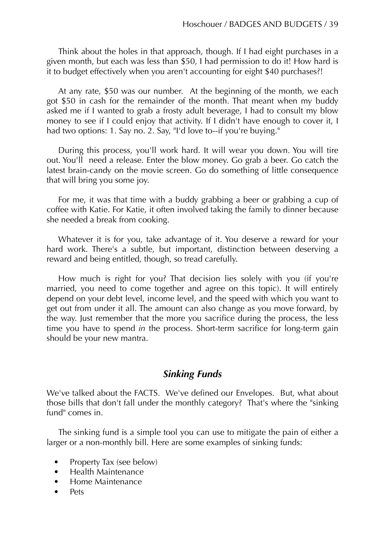Think about the holes in that approach, though. If I had eight purchases in a given month, but each was less than \$50, I had permission to do it! How hard is it to budget effectively when you aren't accounting for eight \$40 purchases?!

At any rate, \$50 was our number. At the beginning of the month, we each got \$50 in cash for the remainder of the month. That meant when my buddy asked me if I wanted to grab a frosty adult beverage, I had to consult my blow money to see if I could enjoy that activity. If I didn't have enough to cover it, I had two options: 1. Say no. 2. Say, "I'd love to--if you're buying."

During this process, you'll work hard. It will wear you down. You will tire out. You'll need a release. Enter the blow money. Go grab a beer. Go catch the latest brain-candy on the movie screen. Go do something of little consequence that will bring you some joy.

For me, it was that time with a buddy grabbing a beer or grabbing a cup of coffee with Katie. For Katie, it often involved taking the family to dinner because she needed a break from cooking.

Whatever it is for you, take advantage of it. You deserve a reward for your hard work. There's a subtle, but important, distinction between deserving a reward and being entitled, though, so tread carefully.

How much is right for you? That decision lies solely with you (if you're married, you need to come together and agree on this topic). It will entirely depend on your debt level, income level, and the speed with which you want to get out from under it all. The amount can also change as you move forward, by the way. Just remember that the more you sacrifice during the process, the less time you have to spend *in* the process. Short-term sacrifice for long-term gain should be your new mantra.

# *Sinking Funds*

We've talked about the FACTS. We've defined our Envelopes. But, what about those bills that don't fall under the monthly category? That's where the "sinking fund" comes in.

The sinking fund is a simple tool you can use to mitigate the pain of either a larger or a non-monthly bill. Here are some examples of sinking funds:

- Property Tax (see below)
- Health Maintenance
- Home Maintenance
- Pets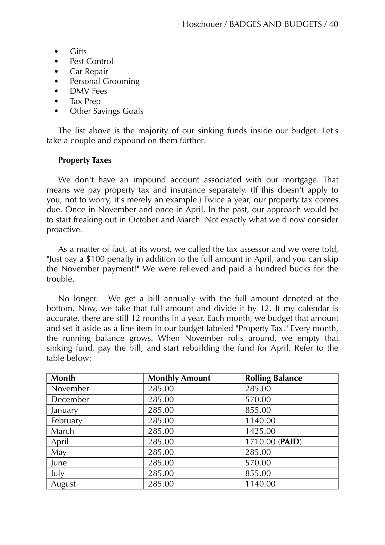- Gifts
- Pest Control
- Car Repair
- Personal Grooming
- DMV Fees
- Tax Prep
- Other Savings Goals

The list above is the majority of our sinking funds inside our budget. Let's take a couple and expound on them further.

## **Property Taxes**

We don't have an impound account associated with our mortgage. That means we pay property tax and insurance separately. (If this doesn't apply to you, not to worry, it's merely an example.) Twice a year, our property tax comes due. Once in November and once in April. In the past, our approach would be to start freaking out in October and March. Not exactly what we'd now consider proactive.

As a matter of fact, at its worst, we called the tax assessor and we were told, "Just pay a \$100 penalty in addition to the full amount in April, and you can skip the November payment!" We were relieved and paid a hundred bucks for the trouble.

No longer. We get a bill annually with the full amount denoted at the bottom. Now, we take that full amount and divide it by 12. If my calendar is accurate, there are still 12 months in a year. Each month, we budget that amount and set it aside as a line item in our budget labeled "Property Tax." Every month, the running balance grows. When November rolls around, we empty that sinking fund, pay the bill, and start rebuilding the fund for April. Refer to the table below:

| <b>Month</b> | <b>Monthly Amount</b> | <b>Rolling Balance</b> |
|--------------|-----------------------|------------------------|
| November     | 285.00                | 285.00                 |
| December     | 285.00                | 570.00                 |
| January      | 285.00                | 855.00                 |
| February     | 285.00                | 1140.00                |
| March        | 285.00                | 1425.00                |
| April        | 285.00                | 1710.00 (PAID)         |
| May          | 285.00                | 285.00                 |
| June         | 285.00                | 570.00                 |
| July         | 285.00                | 855.00                 |
| August       | 285.00                | 1140.00                |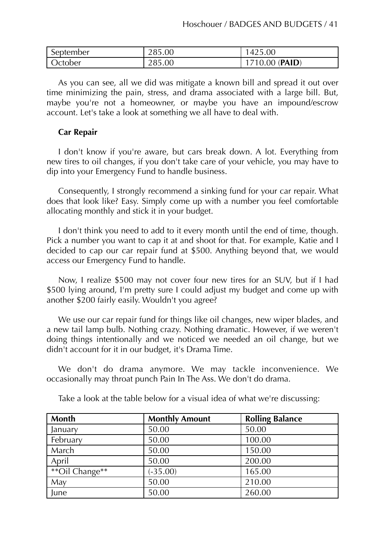| September | 285.00 | 425.00          |
|-----------|--------|-----------------|
| Jctober   | 285.00 | $710.00$ (PAID) |

As you can see, all we did was mitigate a known bill and spread it out over time minimizing the pain, stress, and drama associated with a large bill. But, maybe you're not a homeowner, or maybe you have an impound/escrow account. Let's take a look at something we all have to deal with.

## **Car Repair**

I don't know if you're aware, but cars break down. A lot. Everything from new tires to oil changes, if you don't take care of your vehicle, you may have to dip into your Emergency Fund to handle business.

Consequently, I strongly recommend a sinking fund for your car repair. What does that look like? Easy. Simply come up with a number you feel comfortable allocating monthly and stick it in your budget.

I don't think you need to add to it every month until the end of time, though. Pick a number you want to cap it at and shoot for that. For example, Katie and I decided to cap our car repair fund at \$500. Anything beyond that, we would access our Emergency Fund to handle.

Now, I realize \$500 may not cover four new tires for an SUV, but if I had \$500 lying around, I'm pretty sure I could adjust my budget and come up with another \$200 fairly easily. Wouldn't you agree?

We use our car repair fund for things like oil changes, new wiper blades, and a new tail lamp bulb. Nothing crazy. Nothing dramatic. However, if we weren't doing things intentionally and we noticed we needed an oil change, but we didn't account for it in our budget, it's Drama Time.

We don't do drama anymore. We may tackle inconvenience. We occasionally may throat punch Pain In The Ass. We don't do drama.

| <b>Month</b>   | <b>Monthly Amount</b> | <b>Rolling Balance</b> |
|----------------|-----------------------|------------------------|
| January        | 50.00                 | 50.00                  |
| February       | 50.00                 | 100.00                 |
| March          | 50.00                 | 150.00                 |
| April          | 50.00                 | 200.00                 |
| **Oil Change** | $(-35.00)$            | 165.00                 |
| May            | 50.00                 | 210.00                 |
| June           | 50.00                 | 260.00                 |

Take a look at the table below for a visual idea of what we're discussing: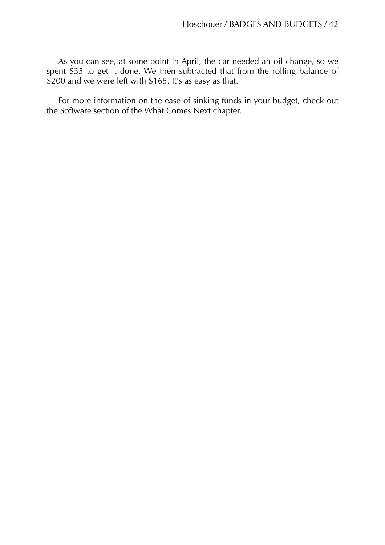As you can see, at some point in April, the car needed an oil change, so we spent \$35 to get it done. We then subtracted that from the rolling balance of \$200 and we were left with \$165. It's as easy as that.

For more information on the ease of sinking funds in your budget, check out the Software section of the What Comes Next chapter.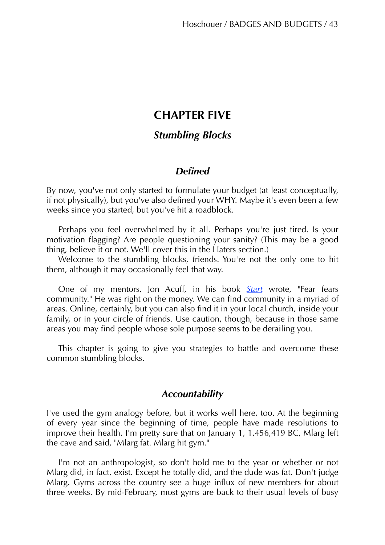# **CHAPTER FIVE**

# *Stumbling Blocks*

# *Defined*

By now, you've not only started to formulate your budget (at least conceptually, if not physically), but you've also defined your WHY. Maybe it's even been a few weeks since you started, but you've hit a roadblock.

Perhaps you feel overwhelmed by it all. Perhaps you're just tired. Is your motivation flagging? Are people questioning your sanity? (This may be a good thing, believe it or not. We'll cover this in the Haters section.)

Welcome to the stumbling blocks, friends. You're not the only one to hit them, although it may occasionally feel that way.

One of my mentors, Jon Acuff, in his book *[Start](http://amzn.to/1MmP6da)* wrote, "Fear fears community." He was right on the money. We can find community in a myriad of areas. Online, certainly, but you can also find it in your local church, inside your family, or in your circle of friends. Use caution, though, because in those same areas you may find people whose sole purpose seems to be derailing you.

This chapter is going to give you strategies to battle and overcome these common stumbling blocks.

## *Accountability*

I've used the gym analogy before, but it works well here, too. At the beginning of every year since the beginning of time, people have made resolutions to improve their health. I'm pretty sure that on January 1, 1,456,419 BC, Mlarg left the cave and said, "Mlarg fat. Mlarg hit gym."

I'm not an anthropologist, so don't hold me to the year or whether or not Mlarg did, in fact, exist. Except he totally did, and the dude was fat. Don't judge Mlarg. Gyms across the country see a huge influx of new members for about three weeks. By mid-February, most gyms are back to their usual levels of busy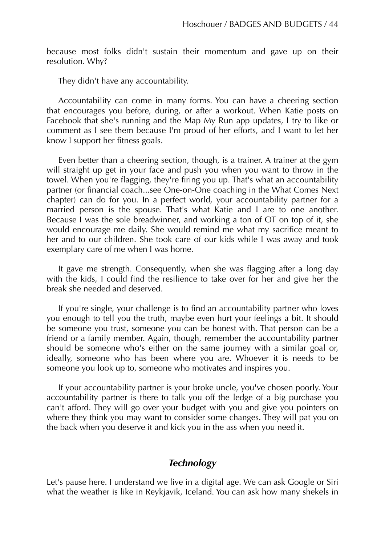because most folks didn't sustain their momentum and gave up on their resolution. Why?

They didn't have any accountability.

Accountability can come in many forms. You can have a cheering section that encourages you before, during, or after a workout. When Katie posts on Facebook that she's running and the Map My Run app updates, I try to like or comment as I see them because I'm proud of her efforts, and I want to let her know I support her fitness goals.

Even better than a cheering section, though, is a trainer. A trainer at the gym will straight up get in your face and push you when you want to throw in the towel. When you're flagging, they're firing you up. That's what an accountability partner (or financial coach...see One-on-One coaching in the What Comes Next chapter) can do for you. In a perfect world, your accountability partner for a married person is the spouse. That's what Katie and I are to one another. Because I was the sole breadwinner, and working a ton of OT on top of it, she would encourage me daily. She would remind me what my sacrifice meant to her and to our children. She took care of our kids while I was away and took exemplary care of me when I was home.

It gave me strength. Consequently, when she was flagging after a long day with the kids, I could find the resilience to take over for her and give her the break she needed and deserved.

If you're single, your challenge is to find an accountability partner who loves you enough to tell you the truth, maybe even hurt your feelings a bit. It should be someone you trust, someone you can be honest with. That person can be a friend or a family member. Again, though, remember the accountability partner should be someone who's either on the same journey with a similar goal or, ideally, someone who has been where you are. Whoever it is needs to be someone you look up to, someone who motivates and inspires you.

If your accountability partner is your broke uncle, you've chosen poorly. Your accountability partner is there to talk you off the ledge of a big purchase you can't afford. They will go over your budget with you and give you pointers on where they think you may want to consider some changes. They will pat you on the back when you deserve it and kick you in the ass when you need it.

# *Technology*

Let's pause here. I understand we live in a digital age. We can ask Google or Siri what the weather is like in Reykjavik, Iceland. You can ask how many shekels in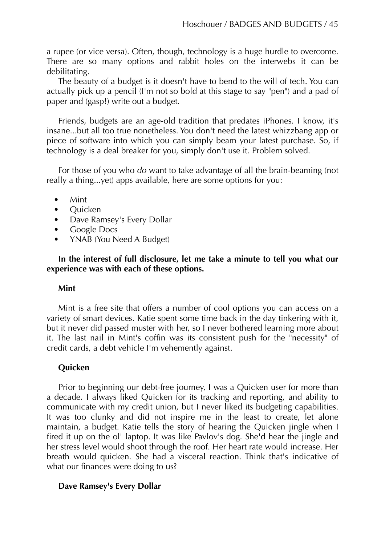a rupee (or vice versa). Often, though, technology is a huge hurdle to overcome. There are so many options and rabbit holes on the interwebs it can be debilitating.

The beauty of a budget is it doesn't have to bend to the will of tech. You can actually pick up a pencil (I'm not so bold at this stage to say "pen") and a pad of paper and (gasp!) write out a budget.

Friends, budgets are an age-old tradition that predates iPhones. I know, it's insane...but all too true nonetheless. You don't need the latest whizzbang app or piece of software into which you can simply beam your latest purchase. So, if technology is a deal breaker for you, simply don't use it. Problem solved.

For those of you who *do* want to take advantage of all the brain-beaming (not really a thing...yet) apps available, here are some options for you:

- Mint
- Quicken
- Dave Ramsey's Every Dollar
- Google Docs
- YNAB (You Need A Budget)

## **In the interest of full disclosure, let me take a minute to tell you what our experience was with each of these options.**

## **Mint**

Mint is a free site that offers a number of cool options you can access on a variety of smart devices. Katie spent some time back in the day tinkering with it, but it never did passed muster with her, so I never bothered learning more about it. The last nail in Mint's coffin was its consistent push for the "necessity" of credit cards, a debt vehicle I'm vehemently against.

## **Quicken**

Prior to beginning our debt-free journey, I was a Quicken user for more than a decade. I always liked Quicken for its tracking and reporting, and ability to communicate with my credit union, but I never liked its budgeting capabilities. It was too clunky and did not inspire me in the least to create, let alone maintain, a budget. Katie tells the story of hearing the Quicken jingle when I fired it up on the ol' laptop. It was like Pavlov's dog. She'd hear the jingle and her stress level would shoot through the roof. Her heart rate would increase. Her breath would quicken. She had a visceral reaction. Think that's indicative of what our finances were doing to us?

## **Dave Ramsey's Every Dollar**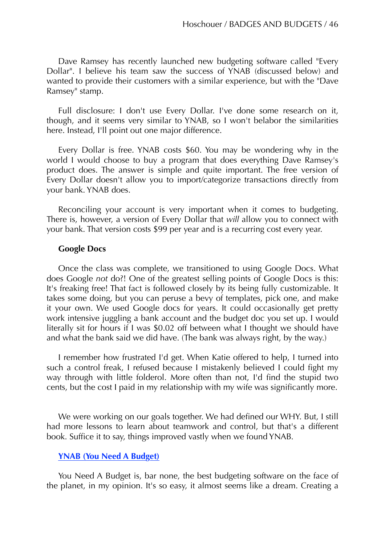Dave Ramsey has recently launched new budgeting software called "Every Dollar". I believe his team saw the success of YNAB (discussed below) and wanted to provide their customers with a similar experience, but with the "Dave Ramsey" stamp.

Full disclosure: I don't use Every Dollar. I've done some research on it, though, and it seems very similar to YNAB, so I won't belabor the similarities here. Instead, I'll point out one major difference.

Every Dollar is free. YNAB costs \$60. You may be wondering why in the world I would choose to buy a program that does everything Dave Ramsey's product does. The answer is simple and quite important. The free version of Every Dollar doesn't allow you to import/categorize transactions directly from your bank. YNAB does.

Reconciling your account is very important when it comes to budgeting. There is, however, a version of Every Dollar that *will* allow you to connect with your bank. That version costs \$99 per year and is a recurring cost every year.

## **Google Docs**

Once the class was complete, we transitioned to using Google Docs. What does Google *not* do?! One of the greatest selling points of Google Docs is this: It's freaking free! That fact is followed closely by its being fully customizable. It takes some doing, but you can peruse a bevy of templates, pick one, and make it your own. We used Google docs for years. It could occasionally get pretty work intensive juggling a bank account and the budget doc you set up. I would literally sit for hours if I was \$0.02 off between what I thought we should have and what the bank said we did have. (The bank was always right, by the way.)

I remember how frustrated I'd get. When Katie offered to help, I turned into such a control freak, I refused because I mistakenly believed I could fight my way through with little folderol. More often than not, I'd find the stupid two cents, but the cost I paid in my relationship with my wife was significantly more.

We were working on our goals together. We had defined our WHY. But, I still had more lessons to learn about teamwork and control, but that's a different book. Suffice it to say, things improved vastly when we found YNAB.

#### **[YNAB \(You Need A Budget\)](http://ynab.refr.cc/T6BBHJM)**

You Need A Budget is, bar none, the best budgeting software on the face of the planet, in my opinion. It's so easy, it almost seems like a dream. Creating a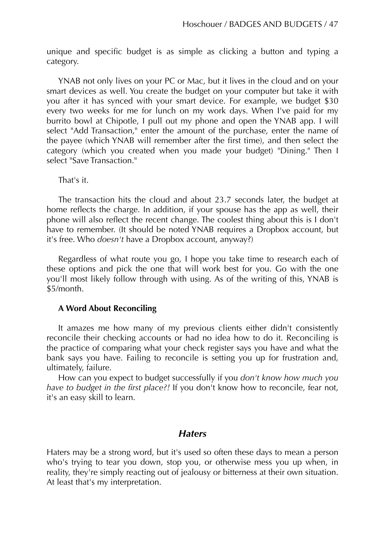unique and specific budget is as simple as clicking a button and typing a category.

YNAB not only lives on your PC or Mac, but it lives in the cloud and on your smart devices as well. You create the budget on your computer but take it with you after it has synced with your smart device. For example, we budget \$30 every two weeks for me for lunch on my work days. When I've paid for my burrito bowl at Chipotle, I pull out my phone and open the YNAB app. I will select "Add Transaction," enter the amount of the purchase, enter the name of the payee (which YNAB will remember after the first time), and then select the category (which you created when you made your budget) "Dining." Then I select "Save Transaction."

That's it.

The transaction hits the cloud and about 23.7 seconds later, the budget at home reflects the charge. In addition, if your spouse has the app as well, their phone will also reflect the recent change. The coolest thing about this is I don't have to remember. (It should be noted YNAB requires a Dropbox account, but it's free. Who *doesn't* have a Dropbox account, anyway?)

Regardless of what route you go, I hope you take time to research each of these options and pick the one that will work best for you. Go with the one you'll most likely follow through with using. As of the writing of this, YNAB is \$5/month.

## **A Word About Reconciling**

It amazes me how many of my previous clients either didn't consistently reconcile their checking accounts or had no idea how to do it. Reconciling is the practice of comparing what your check register says you have and what the bank says you have. Failing to reconcile is setting you up for frustration and, ultimately, failure.

How can you expect to budget successfully if you *don't know how much you have to budget in the first place?!* If you don't know how to reconcile, fear not, it's an easy skill to learn.

# *Haters*

Haters may be a strong word, but it's used so often these days to mean a person who's trying to tear you down, stop you, or otherwise mess you up when, in reality, they're simply reacting out of jealousy or bitterness at their own situation. At least that's my interpretation.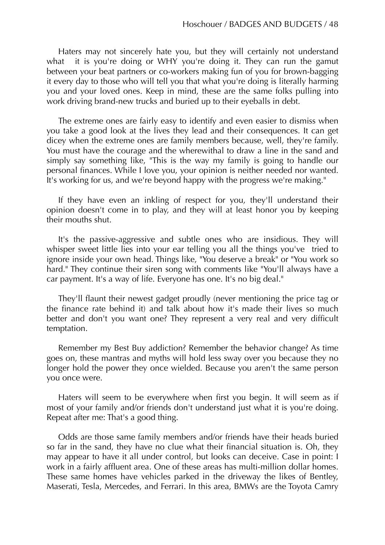Haters may not sincerely hate you, but they will certainly not understand what it is you're doing or WHY you're doing it. They can run the gamut between your beat partners or co-workers making fun of you for brown-bagging it every day to those who will tell you that what you're doing is literally harming you and your loved ones. Keep in mind, these are the same folks pulling into work driving brand-new trucks and buried up to their eyeballs in debt.

The extreme ones are fairly easy to identify and even easier to dismiss when you take a good look at the lives they lead and their consequences. It can get dicey when the extreme ones are family members because, well, they're family. You must have the courage and the wherewithal to draw a line in the sand and simply say something like, "This is the way my family is going to handle our personal finances. While I love you, your opinion is neither needed nor wanted. It's working for us, and we're beyond happy with the progress we're making."

If they have even an inkling of respect for you, they'll understand their opinion doesn't come in to play, and they will at least honor you by keeping their mouths shut.

It's the passive-aggressive and subtle ones who are insidious. They will whisper sweet little lies into your ear telling you all the things you've tried to ignore inside your own head. Things like, "You deserve a break" or "You work so hard." They continue their siren song with comments like "You'll always have a car payment. It's a way of life. Everyone has one. It's no big deal."

They'll flaunt their newest gadget proudly (never mentioning the price tag or the finance rate behind it) and talk about how it's made their lives so much better and don't you want one? They represent a very real and very difficult temptation.

Remember my Best Buy addiction? Remember the behavior change? As time goes on, these mantras and myths will hold less sway over you because they no longer hold the power they once wielded. Because you aren't the same person you once were.

Haters will seem to be everywhere when first you begin. It will seem as if most of your family and/or friends don't understand just what it is you're doing. Repeat after me: That's a good thing.

Odds are those same family members and/or friends have their heads buried so far in the sand, they have no clue what their financial situation is. Oh, they may appear to have it all under control, but looks can deceive. Case in point: I work in a fairly affluent area. One of these areas has multi-million dollar homes. These same homes have vehicles parked in the driveway the likes of Bentley, Maserati, Tesla, Mercedes, and Ferrari. In this area, BMWs are the Toyota Camry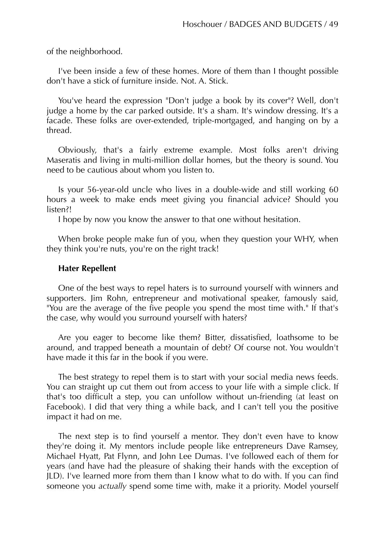of the neighborhood.

I've been inside a few of these homes. More of them than I thought possible don't have a stick of furniture inside. Not. A. Stick.

You've heard the expression "Don't judge a book by its cover"? Well, don't judge a home by the car parked outside. It's a sham. It's window dressing. It's a facade. These folks are over-extended, triple-mortgaged, and hanging on by a thread.

Obviously, that's a fairly extreme example. Most folks aren't driving Maseratis and living in multi-million dollar homes, but the theory is sound. You need to be cautious about whom you listen to.

Is your 56-year-old uncle who lives in a double-wide and still working 60 hours a week to make ends meet giving you financial advice? Should you listen?!

I hope by now you know the answer to that one without hesitation.

When broke people make fun of you, when they question your WHY, when they think you're nuts, you're on the right track!

#### **Hater Repellent**

One of the best ways to repel haters is to surround yourself with winners and supporters. Jim Rohn, entrepreneur and motivational speaker, famously said, "You are the average of the five people you spend the most time with." If that's the case, why would you surround yourself with haters?

Are you eager to become like them? Bitter, dissatisfied, loathsome to be around, and trapped beneath a mountain of debt? Of course not. You wouldn't have made it this far in the book if you were.

The best strategy to repel them is to start with your social media news feeds. You can straight up cut them out from access to your life with a simple click. If that's too difficult a step, you can unfollow without un-friending (at least on Facebook). I did that very thing a while back, and I can't tell you the positive impact it had on me.

The next step is to find yourself a mentor. They don't even have to know they're doing it. My mentors include people like entrepreneurs Dave Ramsey, Michael Hyatt, Pat Flynn, and John Lee Dumas. I've followed each of them for years (and have had the pleasure of shaking their hands with the exception of JLD). I've learned more from them than I know what to do with. If you can find someone you *actually* spend some time with, make it a priority. Model yourself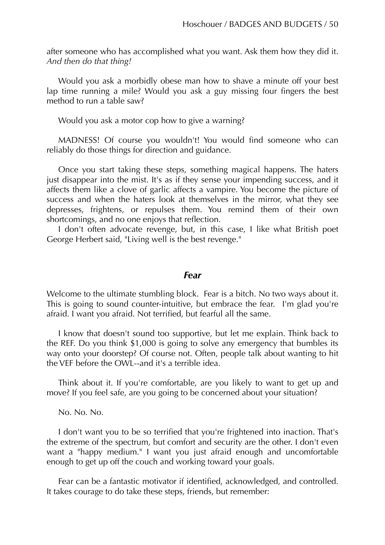after someone who has accomplished what you want. Ask them how they did it. *And then do that thing!*

Would you ask a morbidly obese man how to shave a minute off your best lap time running a mile? Would you ask a guy missing four fingers the best method to run a table saw?

Would you ask a motor cop how to give a warning?

MADNESS! Of course you wouldn't! You would find someone who can reliably do those things for direction and guidance.

Once you start taking these steps, something magical happens. The haters just disappear into the mist. It's as if they sense your impending success, and it affects them like a clove of garlic affects a vampire. You become the picture of success and when the haters look at themselves in the mirror, what they see depresses, frightens, or repulses them. You remind them of their own shortcomings, and no one enjoys that reflection.

I don't often advocate revenge, but, in this case, I like what British poet George Herbert said, "Living well is the best revenge."

#### *Fear*

Welcome to the ultimate stumbling block. Fear is a bitch. No two ways about it. This is going to sound counter-intuitive, but embrace the fear. I'm glad you're afraid. I want you afraid. Not terrified, but fearful all the same.

I know that doesn't sound too supportive, but let me explain. Think back to the REF. Do you think \$1,000 is going to solve any emergency that bumbles its way onto your doorstep? Of course not. Often, people talk about wanting to hit the VEF before the OWL--and it's a terrible idea.

Think about it. If you're comfortable, are you likely to want to get up and move? If you feel safe, are you going to be concerned about your situation?

No. No. No.

I don't want you to be so terrified that you're frightened into inaction. That's the extreme of the spectrum, but comfort and security are the other. I don't even want a "happy medium." I want you just afraid enough and uncomfortable enough to get up off the couch and working toward your goals.

Fear can be a fantastic motivator if identified, acknowledged, and controlled. It takes courage to do take these steps, friends, but remember: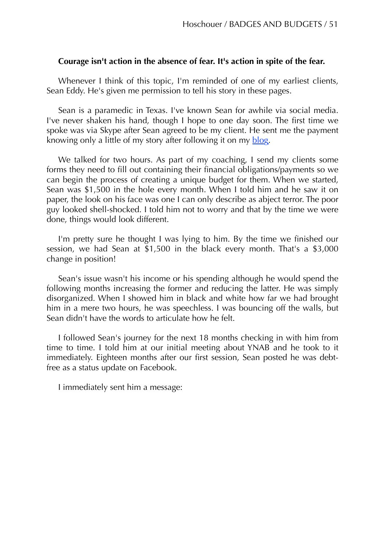#### **Courage isn't action in the absence of fear. It's action in spite of the fear.**

Whenever I think of this topic, I'm reminded of one of my earliest clients, Sean Eddy. He's given me permission to tell his story in these pages.

Sean is a paramedic in Texas. I've known Sean for awhile via social media. I've never shaken his hand, though I hope to one day soon. The first time we spoke was via Skype after Sean agreed to be my client. He sent me the payment knowing only a little of my story after following it on my [blog.](http://motorcopblog.com/)

We talked for two hours. As part of my coaching, I send my clients some forms they need to fill out containing their financial obligations/payments so we can begin the process of creating a unique budget for them. When we started, Sean was \$1,500 in the hole every month. When I told him and he saw it on paper, the look on his face was one I can only describe as abject terror. The poor guy looked shell-shocked. I told him not to worry and that by the time we were done, things would look different.

I'm pretty sure he thought I was lying to him. By the time we finished our session, we had Sean at \$1,500 in the black every month. That's a \$3,000 change in position!

Sean's issue wasn't his income or his spending although he would spend the following months increasing the former and reducing the latter. He was simply disorganized. When I showed him in black and white how far we had brought him in a mere two hours, he was speechless. I was bouncing off the walls, but Sean didn't have the words to articulate how he felt.

I followed Sean's journey for the next 18 months checking in with him from time to time. I told him at our initial meeting about YNAB and he took to it immediately. Eighteen months after our first session, Sean posted he was debtfree as a status update on Facebook.

I immediately sent him a message: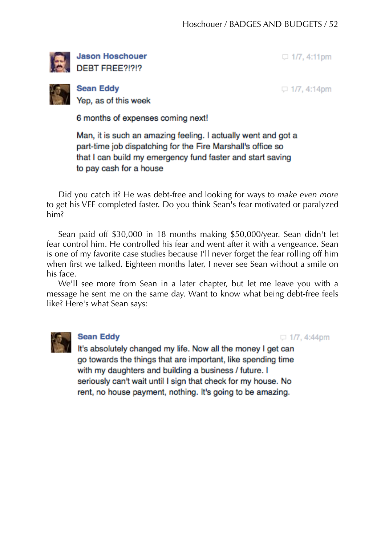

**Jason Hoschouer** DEBT FREE?!?!?

 $\Box$  1/7, 4:11pm

**Sean Eddy** Yep, as of this week

 $\Box$  1/7, 4:14pm

6 months of expenses coming next!

Man, it is such an amazing feeling. I actually went and got a part-time job dispatching for the Fire Marshall's office so that I can build my emergency fund faster and start saving to pay cash for a house

Did you catch it? He was debt-free and looking for ways to *make even more* to get his VEF completed faster. Do you think Sean's fear motivated or paralyzed him?

Sean paid off \$30,000 in 18 months making \$50,000/year. Sean didn't let fear control him. He controlled his fear and went after it with a vengeance. Sean is one of my favorite case studies because I'll never forget the fear rolling off him when first we talked. Eighteen months later, I never see Sean without a smile on his face.

We'll see more from Sean in a later chapter, but let me leave you with a message he sent me on the same day. Want to know what being debt-free feels like? Here's what Sean says:



# **Sean Eddy**

 $\Box$  1/7, 4:44pm

It's absolutely changed my life. Now all the money I get can go towards the things that are important, like spending time with my daughters and building a business / future. I seriously can't wait until I sign that check for my house. No rent, no house payment, nothing. It's going to be amazing.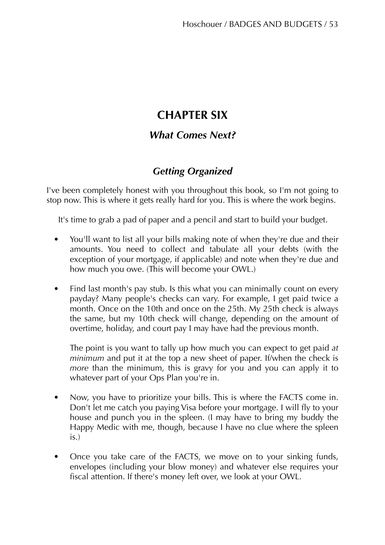# **CHAPTER SIX**

# *What Comes Next?*

# *Getting Organized*

I've been completely honest with you throughout this book, so I'm not going to stop now. This is where it gets really hard for you. This is where the work begins.

It's time to grab a pad of paper and a pencil and start to build your budget.

- You'll want to list all your bills making note of when they're due and their amounts. You need to collect and tabulate all your debts (with the exception of your mortgage, if applicable) and note when they're due and how much you owe. (This will become your OWL.)
- Find last month's pay stub. Is this what you can minimally count on every payday? Many people's checks can vary. For example, I get paid twice a month. Once on the 10th and once on the 25th. My 25th check is always the same, but my 10th check will change, depending on the amount of overtime, holiday, and court pay I may have had the previous month.

The point is you want to tally up how much you can expect to get paid *at minimum* and put it at the top a new sheet of paper. If/when the check is *more* than the minimum, this is gravy for you and you can apply it to whatever part of your Ops Plan you're in.

- Now, you have to prioritize your bills. This is where the FACTS come in. Don't let me catch you paying Visa before your mortgage. I will fly to your house and punch you in the spleen. (I may have to bring my buddy the Happy Medic with me, though, because I have no clue where the spleen is.)
- Once you take care of the FACTS, we move on to your sinking funds, envelopes (including your blow money) and whatever else requires your fiscal attention. If there's money left over, we look at your OWL.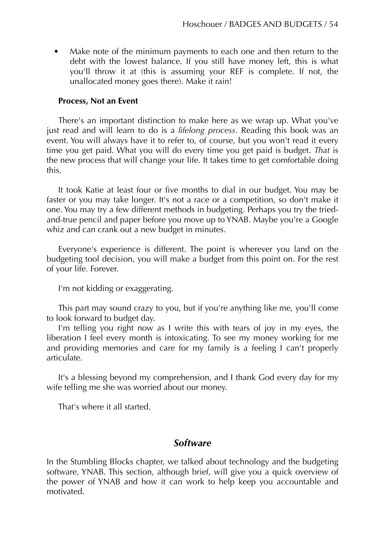• Make note of the minimum payments to each one and then return to the debt with the lowest balance. If you still have money left, this is what you'll throw it at (this is assuming your REF is complete. If not, the unallocated money goes there). Make it rain!

## **Process, Not an Event**

There's an important distinction to make here as we wrap up. What you've just read and will learn to do is a *lifelong process*. Reading this book was an event. You will always have it to refer to, of course, but you won't read it every time you get paid. What you will do every time you get paid is budget. *That* is the new process that will change your life. It takes time to get comfortable doing this.

It took Katie at least four or five months to dial in our budget. You may be faster or you may take longer. It's not a race or a competition, so don't make it one. You may try a few different methods in budgeting. Perhaps you try the triedand-true pencil and paper before you move up to YNAB. Maybe you're a Google whiz and can crank out a new budget in minutes.

Everyone's experience is different. The point is wherever you land on the budgeting tool decision, you will make a budget from this point on. For the rest of your life. Forever.

I'm not kidding or exaggerating.

This part may sound crazy to you, but if you're anything like me, you'll come to look forward to budget day.

I'm telling you right now as I write this with tears of joy in my eyes, the liberation I feel every month is intoxicating. To see my money working for me and providing memories and care for my family is a feeling I can't properly articulate.

It's a blessing beyond my comprehension, and I thank God every day for my wife telling me she was worried about our money.

That's where it all started.

# *Software*

In the Stumbling Blocks chapter, we talked about technology and the budgeting software, YNAB. This section, although brief, will give you a quick overview of the power of YNAB and how it can work to help keep you accountable and motivated.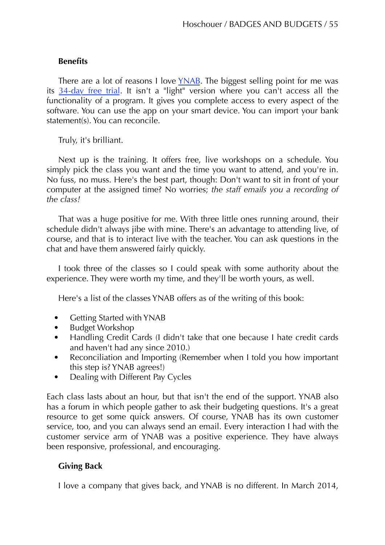## **Benefits**

There are a lot of reasons I love [YNAB](http://ynab.refr.cc/T6BBHJM). The biggest selling point for me was its [34-day free trial.](http://www.youneedabudget.com/download) It isn't a "light" version where you can't access all the functionality of a program. It gives you complete access to every aspect of the software. You can use the app on your smart device. You can import your bank statement(s). You can reconcile.

Truly, it's brilliant.

Next up is the training. It offers free, live workshops on a schedule. You simply pick the class you want and the time you want to attend, and you're in. No fuss, no muss. Here's the best part, though: Don't want to sit in front of your computer at the assigned time? No worries; *the staff emails you a recording of the class!*

That was a huge positive for me. With three little ones running around, their schedule didn't always jibe with mine. There's an advantage to attending live, of course, and that is to interact live with the teacher. You can ask questions in the chat and have them answered fairly quickly.

I took three of the classes so I could speak with some authority about the experience. They were worth my time, and they'll be worth yours, as well.

Here's a list of the classes YNAB offers as of the writing of this book:

- Getting Started with YNAB
- Budget Workshop
- Handling Credit Cards (I didn't take that one because I hate credit cards and haven't had any since 2010.)
- Reconciliation and Importing (Remember when I told you how important this step is? YNAB agrees!)
- Dealing with Different Pay Cycles

Each class lasts about an hour, but that isn't the end of the support. YNAB also has a forum in which people gather to ask their budgeting questions. It's a great resource to get some quick answers. Of course, YNAB has its own customer service, too, and you can always send an email. Every interaction I had with the customer service arm of YNAB was a positive experience. They have always been responsive, professional, and encouraging.

# **Giving Back**

I love a company that gives back, and YNAB is no different. In March 2014,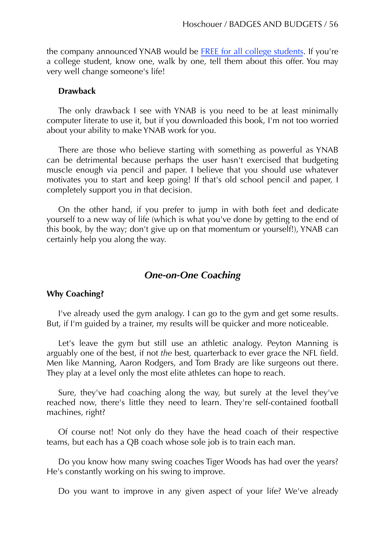the company announced YNAB would be [FREE for all college students.](http://www.youneedabudget.com/blog/2014/ynab-is-now-free-for-college-students/?inf_contact_key=4a2889f3f75ed3846861b903ab1fe309ee8f5d70a4090eaf62828e519188c66d) If you're a college student, know one, walk by one, tell them about this offer. You may very well change someone's life!

#### **Drawback**

The only drawback I see with YNAB is you need to be at least minimally computer literate to use it, but if you downloaded this book, I'm not too worried about your ability to make YNAB work for you.

There are those who believe starting with something as powerful as YNAB can be detrimental because perhaps the user hasn't exercised that budgeting muscle enough via pencil and paper. I believe that you should use whatever motivates you to start and keep going! If that's old school pencil and paper, I completely support you in that decision.

On the other hand, if you prefer to jump in with both feet and dedicate yourself to a new way of life (which is what you've done by getting to the end of this book, by the way; don't give up on that momentum or yourself!), YNAB can certainly help you along the way.

# *One-on-One Coaching*

#### **Why Coaching?**

I've already used the gym analogy. I can go to the gym and get some results. But, if I'm guided by a trainer, my results will be quicker and more noticeable.

Let's leave the gym but still use an athletic analogy. Peyton Manning is arguably one of the best, if not *the* best, quarterback to ever grace the NFL field. Men like Manning, Aaron Rodgers, and Tom Brady are like surgeons out there. They play at a level only the most elite athletes can hope to reach.

Sure, they've had coaching along the way, but surely at the level they've reached now, there's little they need to learn. They're self-contained football machines, right?

Of course not! Not only do they have the head coach of their respective teams, but each has a QB coach whose sole job is to train each man.

Do you know how many swing coaches Tiger Woods has had over the years? He's constantly working on his swing to improve.

Do you want to improve in any given aspect of your life? We've already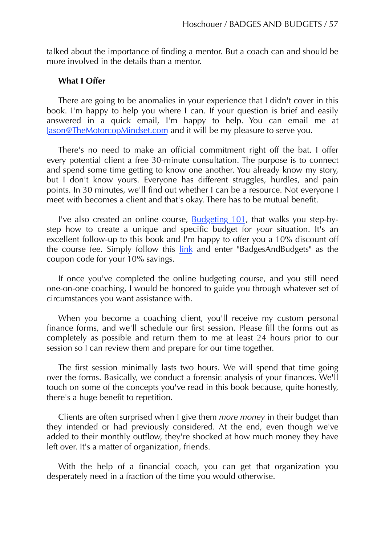talked about the importance of finding a mentor. But a coach can and should be more involved in the details than a mentor.

#### **What I Offer**

There are going to be anomalies in your experience that I didn't cover in this book. I'm happy to help you where I can. If your question is brief and easily answered in a quick email, I'm happy to help. You can email me at [Jason@TheMotorcopMindset.com](mailto:jason@themotorcopmindset.com) and it will be my pleasure to serve you.

There's no need to make an official commitment right off the bat. I offer every potential client a free 30-minute consultation. The purpose is to connect and spend some time getting to know one another. You already know my story, but I don't know yours. Everyone has different struggles, hurdles, and pain points. In 30 minutes, we'll find out whether I can be a resource. Not everyone I meet with becomes a client and that's okay. There has to be mutual benefit.

I've also created an online course, [Budgeting 101,](http://lawenforcementlearning.com/course/budgeting-101/) that walks you step-bystep how to create a unique and specific budget for *your* situation. It's an excellent follow-up to this book and I'm happy to offer you a 10% discount off the course fee. Simply follow this [link](http://lawenforcementlearning.com/course/budgeting-101/overview/) and enter "BadgesAndBudgets" as the coupon code for your 10% savings.

If once you've completed the online budgeting course, and you still need one-on-one coaching, I would be honored to guide you through whatever set of circumstances you want assistance with.

When you become a coaching client, you'll receive my custom personal finance forms, and we'll schedule our first session. Please fill the forms out as completely as possible and return them to me at least 24 hours prior to our session so I can review them and prepare for our time together.

The first session minimally lasts two hours. We will spend that time going over the forms. Basically, we conduct a forensic analysis of your finances. We'll touch on some of the concepts you've read in this book because, quite honestly, there's a huge benefit to repetition.

Clients are often surprised when I give them *more money* in their budget than they intended or had previously considered. At the end, even though we've added to their monthly outflow, they're shocked at how much money they have left over. It's a matter of organization, friends.

With the help of a financial coach, you can get that organization you desperately need in a fraction of the time you would otherwise.